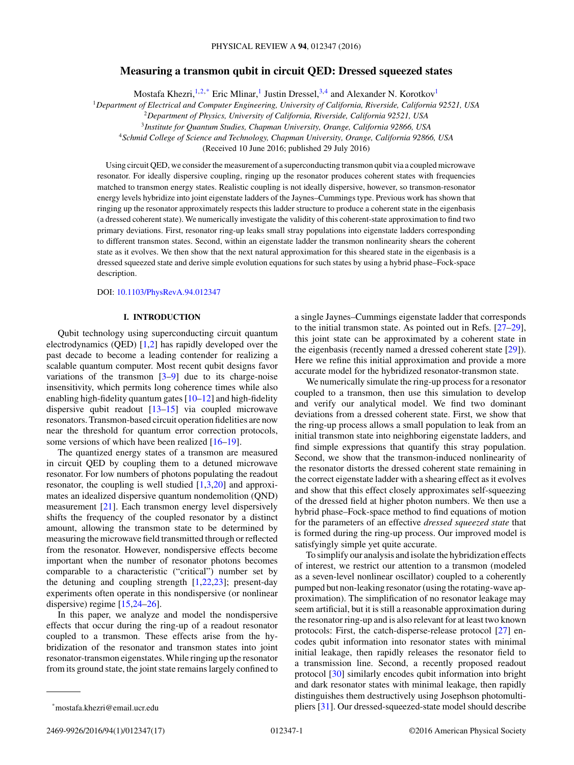# **Measuring a transmon qubit in circuit QED: Dressed squeezed states**

Mostafa Khezri,  $1,2,*$  Eric Mlinar, <sup>1</sup> Justin Dressel,  $3,4$  and Alexander N. Korotkov<sup>1</sup>

<sup>1</sup>*Department of Electrical and Computer Engineering, University of California, Riverside, California 92521, USA*

<sup>2</sup>*Department of Physics, University of California, Riverside, California 92521, USA*

<sup>3</sup>*Institute for Quantum Studies, Chapman University, Orange, California 92866, USA*

<sup>4</sup>*Schmid College of Science and Technology, Chapman University, Orange, California 92866, USA*

(Received 10 June 2016; published 29 July 2016)

Using circuit QED, we consider the measurement of a superconducting transmon qubit via a coupled microwave resonator. For ideally dispersive coupling, ringing up the resonator produces coherent states with frequencies matched to transmon energy states. Realistic coupling is not ideally dispersive, however, so transmon-resonator energy levels hybridize into joint eigenstate ladders of the Jaynes–Cummings type. Previous work has shown that ringing up the resonator approximately respects this ladder structure to produce a coherent state in the eigenbasis (a dressed coherent state). We numerically investigate the validity of this coherent-state approximation to find two primary deviations. First, resonator ring-up leaks small stray populations into eigenstate ladders corresponding to different transmon states. Second, within an eigenstate ladder the transmon nonlinearity shears the coherent state as it evolves. We then show that the next natural approximation for this sheared state in the eigenbasis is a dressed squeezed state and derive simple evolution equations for such states by using a hybrid phase–Fock-space description.

## DOI: [10.1103/PhysRevA.94.012347](http://dx.doi.org/10.1103/PhysRevA.94.012347)

# **I. INTRODUCTION**

Qubit technology using superconducting circuit quantum electrodynamics (QED) [\[1,2\]](#page-14-0) has rapidly developed over the past decade to become a leading contender for realizing a scalable quantum computer. Most recent qubit designs favor variations of the transmon  $[3-9]$  due to its charge-noise insensitivity, which permits long coherence times while also enabling high-fidelity quantum gates  $[10-12]$  and high-fidelity dispersive qubit readout [\[13–15\]](#page-14-0) via coupled microwave resonators. Transmon-based circuit operation fidelities are now near the threshold for quantum error correction protocols, some versions of which have been realized [\[16–19\]](#page-14-0).

The quantized energy states of a transmon are measured in circuit QED by coupling them to a detuned microwave resonator. For low numbers of photons populating the readout resonator, the coupling is well studied [\[1,3,20\]](#page-14-0) and approximates an idealized dispersive quantum nondemolition (QND) measurement [\[21\]](#page-15-0). Each transmon energy level dispersively shifts the frequency of the coupled resonator by a distinct amount, allowing the transmon state to be determined by measuring the microwave field transmitted through or reflected from the resonator. However, nondispersive effects become important when the number of resonator photons becomes comparable to a characteristic ("critical") number set by the detuning and coupling strength [\[1,](#page-14-0)[22,23\]](#page-15-0); present-day experiments often operate in this nondispersive (or nonlinear dispersive) regime [\[15](#page-14-0)[,24–26\]](#page-15-0).

In this paper, we analyze and model the nondispersive effects that occur during the ring-up of a readout resonator coupled to a transmon. These effects arise from the hybridization of the resonator and transmon states into joint resonator-transmon eigenstates. While ringing up the resonator from its ground state, the joint state remains largely confined to

We numerically simulate the ring-up process for a resonator coupled to a transmon, then use this simulation to develop and verify our analytical model. We find two dominant deviations from a dressed coherent state. First, we show that the ring-up process allows a small population to leak from an initial transmon state into neighboring eigenstate ladders, and find simple expressions that quantify this stray population. Second, we show that the transmon-induced nonlinearity of the resonator distorts the dressed coherent state remaining in the correct eigenstate ladder with a shearing effect as it evolves and show that this effect closely approximates self-squeezing of the dressed field at higher photon numbers. We then use a hybrid phase–Fock-space method to find equations of motion for the parameters of an effective *dressed squeezed state* that is formed during the ring-up process. Our improved model is satisfyingly simple yet quite accurate.

To simplify our analysis and isolate the hybridization effects of interest, we restrict our attention to a transmon (modeled as a seven-level nonlinear oscillator) coupled to a coherently pumped but non-leaking resonator (using the rotating-wave approximation). The simplification of no resonator leakage may seem artificial, but it is still a reasonable approximation during the resonator ring-up and is also relevant for at least two known protocols: First, the catch-disperse-release protocol [\[27\]](#page-15-0) encodes qubit information into resonator states with minimal initial leakage, then rapidly releases the resonator field to a transmission line. Second, a recently proposed readout protocol [\[30\]](#page-15-0) similarly encodes qubit information into bright and dark resonator states with minimal leakage, then rapidly distinguishes them destructively using Josephson photomultipliers [\[31\]](#page-15-0). Our dressed-squeezed-state model should describe

2469-9926/2016/94(1)/012347(17) 012347-1 ©2016 American Physical Society

a single Jaynes–Cummings eigenstate ladder that corresponds to the initial transmon state. As pointed out in Refs. [\[27–29\]](#page-15-0), this joint state can be approximated by a coherent state in the eigenbasis (recently named a dressed coherent state [\[29\]](#page-15-0)). Here we refine this initial approximation and provide a more accurate model for the hybridized resonator-transmon state.

<sup>\*</sup>mostafa.khezri@email.ucr.edu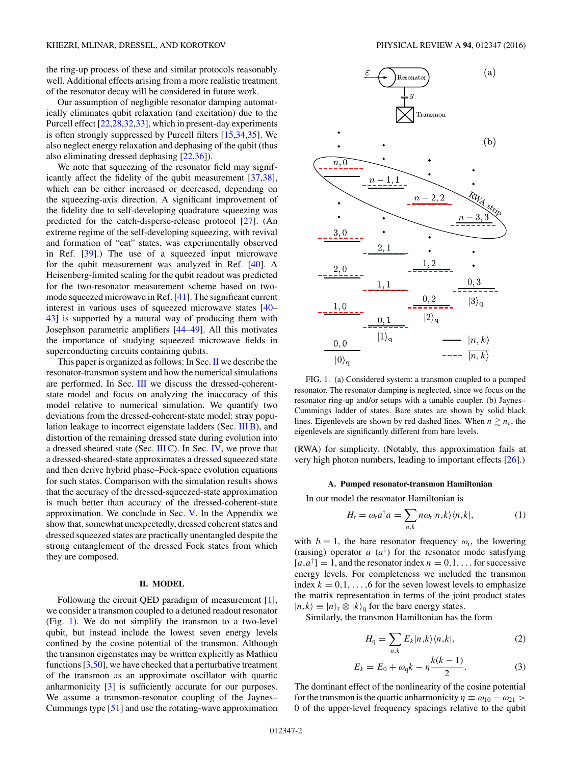<span id="page-1-0"></span>the ring-up process of these and similar protocols reasonably well. Additional effects arising from a more realistic treatment of the resonator decay will be considered in future work.

Our assumption of negligible resonator damping automatically eliminates qubit relaxation (and excitation) due to the Purcell effect [\[22,28,32,33\]](#page-15-0), which in present-day experiments is often strongly suppressed by Purcell filters [\[15](#page-14-0)[,34,35\]](#page-15-0). We also neglect energy relaxation and dephasing of the qubit (thus also eliminating dressed dephasing [\[22,36\]](#page-15-0)).

We note that squeezing of the resonator field may significantly affect the fidelity of the qubit measurement [\[37,38\]](#page-15-0), which can be either increased or decreased, depending on the squeezing-axis direction. A significant improvement of the fidelity due to self-developing quadrature squeezing was predicted for the catch-disperse-release protocol [\[27\]](#page-15-0). (An extreme regime of the self-developing squeezing, with revival and formation of "cat" states, was experimentally observed in Ref. [\[39\]](#page-15-0).) The use of a squeezed input microwave for the qubit measurement was analyzed in Ref. [\[40\]](#page-15-0). A Heisenberg-limited scaling for the qubit readout was predicted for the two-resonator measurement scheme based on twomode squeezed microwave in Ref. [\[41\]](#page-15-0). The significant current interest in various uses of squeezed microwave states [\[40–](#page-15-0) [43\]](#page-15-0) is supported by a natural way of producing them with Josephson parametric amplifiers [\[44–49\]](#page-15-0). All this motivates the importance of studying squeezed microwave fields in superconducting circuits containing qubits.

This paper is organized as follows: In Sec. II we describe the resonator-transmon system and how the numerical simulations are performed. In Sec. [III](#page-3-0) we discuss the dressed-coherentstate model and focus on analyzing the inaccuracy of this model relative to numerical simulation. We quantify two deviations from the dressed-coherent-state model: stray population leakage to incorrect eigenstate ladders (Sec. [III B\)](#page-3-0), and distortion of the remaining dressed state during evolution into a dressed sheared state (Sec.  $III$ C). In Sec. [IV,](#page-8-0) we prove that a dressed-sheared-state approximates a dressed squeezed state and then derive hybrid phase–Fock-space evolution equations for such states. Comparison with the simulation results shows that the accuracy of the dressed-squeezed-state approximation is much better than accuracy of the dressed-coherent-state approximation. We conclude in Sec. [V.](#page-11-0) In the Appendix we show that, somewhat unexpectedly, dressed coherent states and dressed squeezed states are practically unentangled despite the strong entanglement of the dressed Fock states from which they are composed.

### **II. MODEL**

Following the circuit QED paradigm of measurement [\[1\]](#page-14-0), we consider a transmon coupled to a detuned readout resonator (Fig. 1). We do not simplify the transmon to a two-level qubit, but instead include the lowest seven energy levels confined by the cosine potential of the transmon. Although the transmon eigenstates may be written explicitly as Mathieu functions [\[3,](#page-14-0)[50\]](#page-15-0), we have checked that a perturbative treatment of the transmon as an approximate oscillator with quartic anharmonicity [\[3\]](#page-14-0) is sufficiently accurate for our purposes. We assume a transmon-resonator coupling of the Jaynes– Cummings type [\[51\]](#page-15-0) and use the rotating-wave approximation



FIG. 1. (a) Considered system: a transmon coupled to a pumped resonator. The resonator damping is neglected, since we focus on the resonator ring-up and/or setups with a tunable coupler. (b) Jaynes– Cummings ladder of states. Bare states are shown by solid black lines. Eigenlevels are shown by red dashed lines. When  $n \gtrsim n_c$ , the eigenlevels are significantly different from bare levels.

(RWA) for simplicity. (Notably, this approximation fails at very high photon numbers, leading to important effects [\[26\]](#page-15-0).)

### **A. Pumped resonator-transmon Hamiltonian**

In our model the resonator Hamiltonian is

$$
H_{\rm r} = \omega_{\rm r} a^{\dagger} a = \sum_{n,k} n \omega_{\rm r} |n,k\rangle \langle n,k|,\tag{1}
$$

with  $\hbar = 1$ , the bare resonator frequency  $\omega_r$ , the lowering (raising) operator  $a(a^{\dagger})$  for the resonator mode satisfying  $[a, a^{\dagger}] = 1$ , and the resonator index  $n = 0, 1, \ldots$  for successive energy levels. For completeness we included the transmon index  $k = 0, 1, \ldots, 6$  for the seven lowest levels to emphasize the matrix representation in terms of the joint product states  $|n,k\rangle \equiv |n\rangle_{\rm r} \otimes |k\rangle_{\rm q}$  for the bare energy states.

Similarly, the transmon Hamiltonian has the form

$$
H_{\mathbf{q}} = \sum_{n,k} E_k |n,k\rangle\langle n,k|,\tag{2}
$$

$$
E_k = E_0 + \omega_q k - \eta \frac{k(k-1)}{2}.
$$
 (3)

The dominant effect of the nonlinearity of the cosine potential for the transmon is the quartic anharmonicity  $\eta \equiv \omega_{10} - \omega_{21} >$ 0 of the upper-level frequency spacings relative to the qubit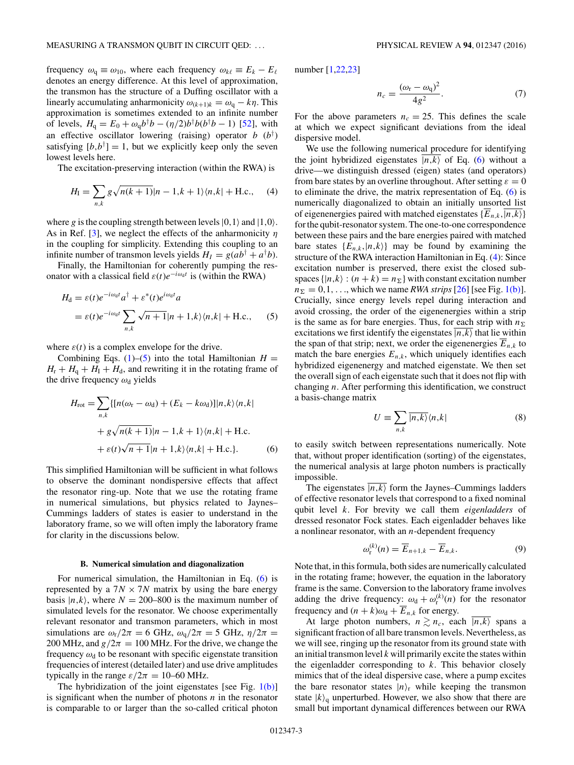<span id="page-2-0"></span>frequency  $\omega_q \equiv \omega_{10}$ , where each frequency  $\omega_{k\ell} \equiv E_k - E_\ell$ denotes an energy difference. At this level of approximation, the transmon has the structure of a Duffing oscillator with a linearly accumulating anharmonicity  $\omega_{(k+1)k} = \omega_q - k\eta$ . This approximation is sometimes extended to an infinite number of levels,  $H_q = E_0 + \omega_q b^{\dagger} b - (\eta/2) b^{\dagger} b (b^{\dagger} b - 1)$  [\[52\]](#page-15-0), with an effective oscillator lowering (raising) operator *b* (*b*† ) satisfying  $[b,b^{\dagger}] = 1$ , but we explicitly keep only the seven lowest levels here.

The excitation-preserving interaction (within the RWA) is

$$
H_{\rm I} = \sum_{n,k} g\sqrt{n(k+1)}|n-1,k+1\rangle\langle n,k| + \text{H.c.}, \quad (4)
$$

where g is the coupling strength between levels  $|0,1\rangle$  and  $|1,0\rangle$ . As in Ref. [\[3\]](#page-14-0), we neglect the effects of the anharmonicity *η* in the coupling for simplicity. Extending this coupling to an infinite number of transmon levels yields  $H_I = g(ab^{\dagger} + a^{\dagger}b)$ .

Finally, the Hamiltonian for coherently pumping the resonator with a classical field  $\varepsilon(t)e^{-i\omega_d t}$  is (within the RWA)

$$
H_{d} = \varepsilon(t)e^{-i\omega_{d}t}a^{\dagger} + \varepsilon^{*}(t)e^{i\omega_{d}t}a
$$
  
=  $\varepsilon(t)e^{-i\omega_{d}t}\sum_{n,k}\sqrt{n+1}|n+1,k\rangle\langle n,k|$  + H.c., (5)

where  $\varepsilon(t)$  is a complex envelope for the drive.

Combining Eqs.  $(1)$ – $(5)$  into the total Hamiltonian *H* =  $H_r + H_q + H_l + H_d$ , and rewriting it in the rotating frame of the drive frequency  $\omega_d$  yields

$$
H_{\rm rot} = \sum_{n,k} \{ [n(\omega_{\rm r} - \omega_{\rm d}) + (E_k - k\omega_{\rm d})] |n,k\rangle \langle n,k|
$$
  
+  $g\sqrt{n(k+1)}|n-1,k+1\rangle \langle n,k|$  + H.c.  
+  $\varepsilon(t)\sqrt{n+1}|n+1,k\rangle \langle n,k|$  + H.c.}. (6)

This simplified Hamiltonian will be sufficient in what follows to observe the dominant nondispersive effects that affect the resonator ring-up. Note that we use the rotating frame in numerical simulations, but physics related to Jaynes– Cummings ladders of states is easier to understand in the laboratory frame, so we will often imply the laboratory frame for clarity in the discussions below.

### **B. Numerical simulation and diagonalization**

For numerical simulation, the Hamiltonian in Eq. (6) is represented by a  $7N \times 7N$  matrix by using the bare energy basis  $|n, k\rangle$ , where  $N = 200-800$  is the maximum number of simulated levels for the resonator. We choose experimentally relevant resonator and transmon parameters, which in most simulations are  $\omega_r/2\pi = 6$  GHz,  $\omega_q/2\pi = 5$  GHz,  $\eta/2\pi =$ 200 MHz, and  $g/2\pi = 100$  MHz. For the drive, we change the frequency  $\omega_d$  to be resonant with specific eigenstate transition frequencies of interest (detailed later) and use drive amplitudes typically in the range  $\varepsilon/2\pi = 10$ –60 MHz.

The hybridization of the joint eigenstates [see Fig.  $1(b)$ ] is significant when the number of photons *n* in the resonator is comparable to or larger than the so-called critical photon number [\[1](#page-14-0)[,22,23\]](#page-15-0)

$$
n_c = \frac{(\omega_{\rm r} - \omega_{\rm q})^2}{4g^2}.
$$
 (7)

For the above parameters  $n_c = 25$ . This defines the scale at which we expect significant deviations from the ideal dispersive model.

We use the following numerical procedure for identifying the joint hybridized eigenstates  $\overline{|n,k\rangle}$  of Eq. (6) without a drive—we distinguish dressed (eigen) states (and operators) from bare states by an overline throughout. After setting  $\varepsilon = 0$ to eliminate the drive, the matrix representation of Eq. (6) is numerically diagonalized to obtain an initially unsorted list of eigenenergies paired with matched eigenstates  $\{\overline{E}_{n,k}, \overline{|n,k\rangle}\}$ for the qubit-resonator system. The one-to-one correspondence between these pairs and the bare energies paired with matched bare states  $\{E_{n,k}, |n,k\rangle\}$  may be found by examining the structure of the RWA interaction Hamiltonian in Eq. (4): Since excitation number is preserved, there exist the closed subspaces  $\{|n,k\rangle : (n + k) = n_{\Sigma}\}\$  with constant excitation number  $n_{\Sigma} = 0, 1, \ldots$ , which we name *RWA strips* [\[26\]](#page-15-0) [see Fig. [1\(b\)\]](#page-1-0). Crucially, since energy levels repel during interaction and avoid crossing, the order of the eigenenergies within a strip is the same as for bare energies. Thus, for each strip with  $n_{\Sigma}$ excitations we first identify the eigenstates  $\overline{|n,k\rangle}$  that lie within the span of that strip; next, we order the eigenenergies  $E_{n,k}$  to match the bare energies  $E_{n,k}$ , which uniquely identifies each hybridized eigenenergy and matched eigenstate. We then set the overall sign of each eigenstate such that it does not flip with changing *n*. After performing this identification, we construct a basis-change matrix

$$
U \equiv \sum_{n,k} \overline{|n,k\rangle} \langle n,k| \tag{8}
$$

to easily switch between representations numerically. Note that, without proper identification (sorting) of the eigenstates, the numerical analysis at large photon numbers is practically impossible.

The eigenstates  $\overline{|n,k\rangle}$  form the Jaynes–Cummings ladders of effective resonator levels that correspond to a fixed nominal qubit level *k*. For brevity we call them *eigenladders* of dressed resonator Fock states. Each eigenladder behaves like a nonlinear resonator, with an *n*-dependent frequency

$$
\omega_{\mathbf{r}}^{(k)}(n) = \overline{E}_{n+1,k} - \overline{E}_{n,k}.
$$
 (9)

Note that, in this formula, both sides are numerically calculated in the rotating frame; however, the equation in the laboratory frame is the same. Conversion to the laboratory frame involves adding the drive frequency:  $\omega_d + \omega_r^{(k)}(n)$  for the resonator frequency and  $(n + k)\omega_d + \overline{E}_{n,k}$  for energy.

At large photon numbers,  $n \geq n_c$ , each  $\overline{|n,k\rangle}$  spans a significant fraction of all bare transmon levels. Nevertheless, as we will see, ringing up the resonator from its ground state with an initial transmon level *k* will primarily excite the states within the eigenladder corresponding to *k*. This behavior closely mimics that of the ideal dispersive case, where a pump excites the bare resonator states  $|n\rangle$ <sub>r</sub> while keeping the transmon state  $|k\rangle$ <sub>q</sub> unperturbed. However, we also show that there are small but important dynamical differences between our RWA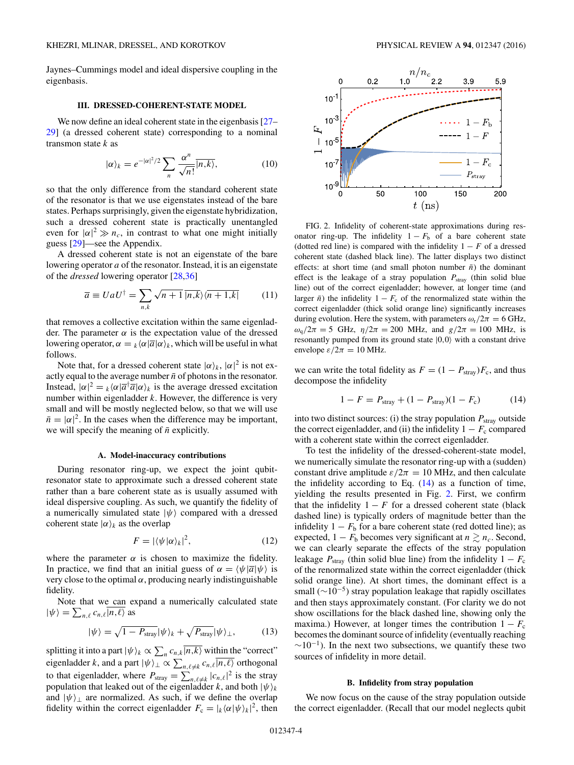<span id="page-3-0"></span>Jaynes–Cummings model and ideal dispersive coupling in the eigenbasis.

## **III. DRESSED-COHERENT-STATE MODEL**

We now define an ideal coherent state in the eigenbasis [\[27–](#page-15-0) [29\]](#page-15-0) (a dressed coherent state) corresponding to a nominal transmon state *k* as

$$
|\alpha\rangle_k = e^{-|\alpha|^2/2} \sum_n \frac{\alpha^n}{\sqrt{n!}} |n,k\rangle, \tag{10}
$$

so that the only difference from the standard coherent state of the resonator is that we use eigenstates instead of the bare states. Perhaps surprisingly, given the eigenstate hybridization, such a dressed coherent state is practically unentangled even for  $|\alpha|^2 \gg n_c$ , in contrast to what one might initially guess [\[29\]](#page-15-0)—see the Appendix.

A dressed coherent state is not an eigenstate of the bare lowering operator *a* of the resonator. Instead, it is an eigenstate of the *dressed* lowering operator [\[28,36\]](#page-15-0)

$$
\overline{a} \equiv U a U^{\dagger} = \sum_{n,k} \sqrt{n+1} \overline{|n,k}\rangle \langle \overline{n+1,k}| \qquad (11)
$$

that removes a collective excitation within the same eigenladder. The parameter  $\alpha$  is the expectation value of the dressed lowering operator,  $\alpha = k \langle \alpha | \overline{a} | \alpha \rangle_k$ , which will be useful in what follows.

Note that, for a dressed coherent state  $|\alpha\rangle_k$ ,  $|\alpha|^2$  is not exactly equal to the average number  $\bar{n}$  of photons in the resonator. Instead,  $|\alpha|^2 = \kappa \langle \alpha | \overline{a}^\dagger \overline{a} | \alpha \rangle_k$  is the average dressed excitation number within eigenladder *k*. However, the difference is very small and will be mostly neglected below, so that we will use  $\bar{n} = |\alpha|^2$ . In the cases when the difference may be important, we will specify the meaning of  $\bar{n}$  explicitly.

#### **A. Model-inaccuracy contributions**

During resonator ring-up, we expect the joint qubitresonator state to approximate such a dressed coherent state rather than a bare coherent state as is usually assumed with ideal dispersive coupling. As such, we quantify the fidelity of a numerically simulated state  $|\psi\rangle$  compared with a dressed coherent state  $|\alpha\rangle_k$  as the overlap

$$
F = |\langle \psi | \alpha \rangle_k|^2, \tag{12}
$$

where the parameter  $\alpha$  is chosen to maximize the fidelity. In practice, we find that an initial guess of  $\alpha = \langle \psi | \overline{a} | \psi \rangle$  is very close to the optimal  $\alpha$ , producing nearly indistinguishable fidelity.

Note that we can expand a numerically calculated state  $|\psi\rangle = \sum_{n,\ell} c_{n,\ell} \overline{|n,\ell\rangle}$  as

$$
|\psi\rangle = \sqrt{1 - P_{\text{stray}}}| \psi\rangle_k + \sqrt{P_{\text{stray}}}| \psi\rangle_{\perp}, \tag{13}
$$

splitting it into a part  $|\psi\rangle_k \propto \sum_n c_{n,k} \overline{|n,k\rangle}$  within the "correct" eigenladder *k*, and a part  $|\psi\rangle_{\perp} \propto \sum_{n,\ell \neq k} c_{n,\ell} \overline{|n,\ell\rangle}$  orthogonal to that eigenladder, where  $P_{\text{stray}} = \sum_{n,\ell \neq k} |c_{n,\ell}|^2$  is the stray population that leaked out of the eigenladder *k*, and both  $|\psi\rangle_k$ and  $|\psi\rangle_{\perp}$  are normalized. As such, if we define the overlap fidelity within the correct eigenladder  $F_c = |k \langle \alpha | \psi \rangle_k|^2$ , then



FIG. 2. Infidelity of coherent-state approximations during resonator ring-up. The infidelity  $1 - F_b$  of a bare coherent state (dotted red line) is compared with the infidelity  $1 - F$  of a dressed coherent state (dashed black line). The latter displays two distinct effects: at short time (and small photon number  $\bar{n}$ ) the dominant effect is the leakage of a stray population  $P_{\text{strav}}$  (thin solid blue line) out of the correct eigenladder; however, at longer time (and larger  $\bar{n}$ ) the infidelity 1 −  $F_c$  of the renormalized state within the correct eigenladder (thick solid orange line) significantly increases during evolution. Here the system, with parameters  $\omega_r/2\pi = 6$  GHz,  $ω<sub>q</sub>/2π = 5$  GHz,  $η/2π = 200$  MHz, and  $g/2π = 100$  MHz, is resonantly pumped from its ground state  $|0,0\rangle$  with a constant drive envelope  $\varepsilon/2\pi = 10$  MHz.

we can write the total fidelity as  $F = (1 - P_{\text{stray}})F_c$ , and thus decompose the infidelity

$$
1 - F = P_{\text{stray}} + (1 - P_{\text{stray}})(1 - F_{\text{c}})
$$
 (14)

into two distinct sources: (i) the stray population  $P_{\text{stray}}$  outside the correct eigenladder, and (ii) the infidelity  $1 - F_c$  compared with a coherent state within the correct eigenladder.

To test the infidelity of the dressed-coherent-state model, we numerically simulate the resonator ring-up with a (sudden) constant drive amplitude  $\varepsilon/2\pi = 10$  MHz, and then calculate the infidelity according to Eq. (14) as a function of time, yielding the results presented in Fig. 2. First, we confirm that the infidelity  $1 - F$  for a dressed coherent state (black dashed line) is typically orders of magnitude better than the infidelity  $1 - F_b$  for a bare coherent state (red dotted line); as expected,  $1 - F_b$  becomes very significant at  $n \gtrsim n_c$ . Second, we can clearly separate the effects of the stray population leakage  $P_{\text{stray}}$  (thin solid blue line) from the infidelity  $1 - F_c$ of the renormalized state within the correct eigenladder (thick solid orange line). At short times, the dominant effect is a small ( $\sim$ 10<sup>-5</sup>) stray population leakage that rapidly oscillates and then stays approximately constant. (For clarity we do not show oscillations for the black dashed line, showing only the maxima.) However, at longer times the contribution  $1 - F_c$ becomes the dominant source of infidelity (eventually reaching  $\sim$ 10<sup>-1</sup>). In the next two subsections, we quantify these two sources of infidelity in more detail.

### **B. Infidelity from stray population**

We now focus on the cause of the stray population outside the correct eigenladder. (Recall that our model neglects qubit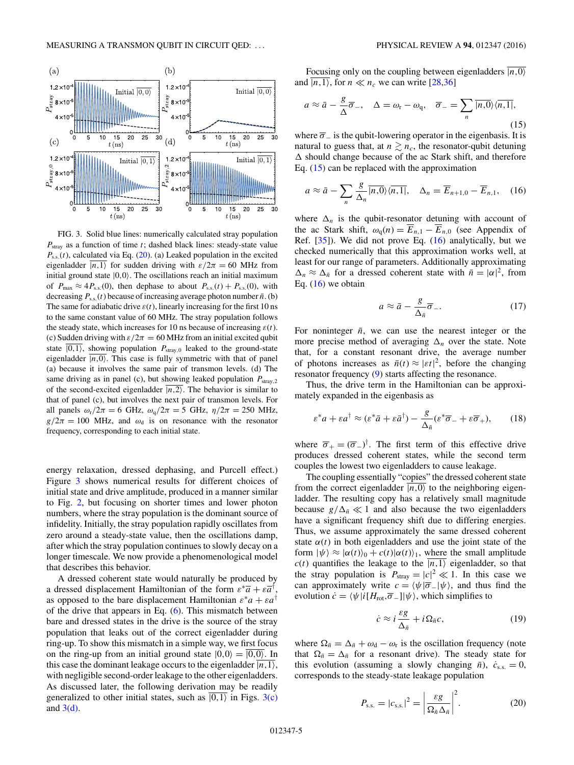<span id="page-4-0"></span>

FIG. 3. Solid blue lines: numerically calculated stray population *P*stray as a function of time *t*; dashed black lines: steady-state value  $P_{s.s.}(t)$ , calculated via Eq. (20). (a) Leaked population in the excited eigenladder  $\overline{|n,1\rangle}$  for sudden driving with  $\varepsilon/2\pi = 60$  MHz from initial ground state  $|0,0\rangle$ . The oscillations reach an initial maximum of  $P_{\text{max}} \approx 4P_{\text{s.s.}}(0)$ , then dephase to about  $P_{\text{s.s.}}(t) + P_{\text{s.s.}}(0)$ , with decreasing  $P_{s.s.}(t)$  because of increasing average photon number  $\bar{n}$ . (b) The same for adiabatic drive  $\varepsilon(t)$ , linearly increasing for the first 10 ns to the same constant value of 60 MHz. The stray population follows the steady state, which increases for 10 ns because of increasing  $\varepsilon(t)$ . (c) Sudden driving with  $\varepsilon/2\pi = 60$  MHz from an initial excited qubit state  $\overline{|0,1\rangle}$ , showing population  $P_{\text{stray},0}$  leaked to the ground-state eigenladder  $\overline{|n,0\rangle}$ . This case is fully symmetric with that of panel (a) because it involves the same pair of transmon levels. (d) The same driving as in panel (c), but showing leaked population  $P_{\text{strav,2}}$ of the second-excited eigenladder  $\overline{(n,2)}$ . The behavior is similar to that of panel (c), but involves the next pair of transmon levels. For all panels  $\omega_r/2\pi = 6$  GHz,  $\omega_q/2\pi = 5$  GHz,  $\eta/2\pi = 250$  MHz,  $g/2\pi = 100$  MHz, and  $\omega_d$  is on resonance with the resonator frequency, corresponding to each initial state.

energy relaxation, dressed dephasing, and Purcell effect.) Figure 3 shows numerical results for different choices of initial state and drive amplitude, produced in a manner similar to Fig. [2,](#page-3-0) but focusing on shorter times and lower photon numbers, where the stray population is the dominant source of infidelity. Initially, the stray population rapidly oscillates from zero around a steady-state value, then the oscillations damp, after which the stray population continues to slowly decay on a longer timescale. We now provide a phenomenological model that describes this behavior.

A dressed coherent state would naturally be produced by a dressed displacement Hamiltonian of the form  $\varepsilon^* \overline{a} + \varepsilon \overline{a}^{\dagger}$ , as opposed to the bare displacement Hamiltonian  $\varepsilon^* a + \varepsilon a^{\dagger}$ of the drive that appears in Eq. [\(6\)](#page-2-0). This mismatch between bare and dressed states in the drive is the source of the stray population that leaks out of the correct eigenladder during ring-up. To show this mismatch in a simple way, we first focus on the ring-up from an initial ground state  $|0,0\rangle = \overline{|0,0\rangle}$ . In this case the dominant leakage occurs to the eigenladder  $\overline{|n,1\rangle}$ , with negligible second-order leakage to the other eigenladders. As discussed later, the following derivation may be readily generalized to other initial states, such as  $|0,1\rangle$  in Figs. 3(c) and  $3(d)$ .

Focusing only on the coupling between eigenladders  $\overline{\vert n,0\rangle}$ and  $\overline{|n,1\rangle}$ , for  $n \ll n_c$  we can write [\[28,36\]](#page-15-0)

$$
a \approx \bar{a} - \frac{g}{\Delta} \overline{\sigma}_{-}, \quad \Delta = \omega_{\rm r} - \omega_{\rm q}, \quad \overline{\sigma}_{-} = \sum_{n} |\overline{n, 0}\rangle\langle\overline{n, 1}|,
$$
\n(15)

where  $\bar{\sigma}_-$  is the qubit-lowering operator in the eigenbasis. It is natural to guess that, at  $n \gtrsim n_c$ , the resonator-qubit detuning  should change because of the ac Stark shift, and therefore Eq.  $(15)$  can be replaced with the approximation

$$
a \approx \bar{a} - \sum_{n} \frac{g}{\Delta_n} \overline{|n, 0\rangle} \langle \overline{n, 1}|, \quad \Delta_n = \overline{E}_{n+1, 0} - \overline{E}_{n, 1}, \quad (16)
$$

where  $\Delta_n$  is the qubit-resonator detuning with account of the ac Stark shift,  $\omega_q(n) = \overline{E}_{n,1} - \overline{E}_{n,0}$  (see Appendix of Ref. [\[35\]](#page-15-0)). We did not prove Eq. (16) analytically, but we checked numerically that this approximation works well, at least for our range of parameters. Additionally approximating  $\Delta_n \approx \Delta_{\bar{n}}$  for a dressed coherent state with  $\bar{n} = |\alpha|^2$ , from Eq.  $(16)$  we obtain

$$
a \approx \bar{a} - \frac{g}{\Delta_{\bar{n}}} \overline{\sigma}_{-}.
$$
 (17)

For noninteger  $\bar{n}$ , we can use the nearest integer or the more precise method of averaging  $\Delta_n$  over the state. Note that, for a constant resonant drive, the average number of photons increases as  $\bar{n}(t) \approx |\varepsilon|^{2}$ , before the changing resonator frequency [\(9\)](#page-2-0) starts affecting the resonance.

Thus, the drive term in the Hamiltonian can be approximately expanded in the eigenbasis as

$$
\varepsilon^* a + \varepsilon a^\dagger \approx (\varepsilon^* \bar{a} + \varepsilon \bar{a}^\dagger) - \frac{g}{\Delta_{\bar{n}}} (\varepsilon^* \overline{\sigma}_- + \varepsilon \overline{\sigma}_+),\qquad(18)
$$

where  $\overline{\sigma}_+ = (\overline{\sigma}_-)^\dagger$ . The first term of this effective drive produces dressed coherent states, while the second term couples the lowest two eigenladders to cause leakage.

The coupling essentially "copies" the dressed coherent state from the correct eigenladder  $\overline{|n,0\rangle}$  to the neighboring eigenladder. The resulting copy has a relatively small magnitude because  $g/\Delta_{\bar{n}} \ll 1$  and also because the two eigenladders have a significant frequency shift due to differing energies. Thus, we assume approximately the same dressed coherent state  $\alpha(t)$  in both eigenladders and use the joint state of the form  $|\psi\rangle \approx |\alpha(t)\rangle_0 + c(t)|\alpha(t)\rangle_1$ , where the small amplitude  $c(t)$  quantifies the leakage to the  $\overline{|n,1\rangle}$  eigenladder, so that the stray population is  $P_{\text{stay}} = |c|^2 \ll 1$ . In this case we can approximately write  $c = \langle \psi | \overline{\sigma} | \psi \rangle$ , and thus find the evolution  $\dot{c} = \langle \psi | i[H_{\text{rot}}, \overline{\sigma}_-] | \psi \rangle$ , which simplifies to

$$
\dot{c} \approx i\frac{\varepsilon g}{\Delta_{\bar{n}}} + i\Omega_{\bar{n}}c,\tag{19}
$$

where  $\Omega_{\bar{n}} = \Delta_{\bar{n}} + \omega_d - \omega_r$  is the oscillation frequency (note that  $\Omega_{\bar{n}} = \Delta_{\bar{n}}$  for a resonant drive). The steady state for this evolution (assuming a slowly changing  $\bar{n}$ ),  $\dot{c}_{ss} = 0$ , corresponds to the steady-state leakage population

$$
P_{\rm s.s.} = |c_{\rm s.s.}|^2 = \left| \frac{\varepsilon g}{\Omega_{\bar{n}} \Delta_{\bar{n}}} \right|^2.
$$
 (20)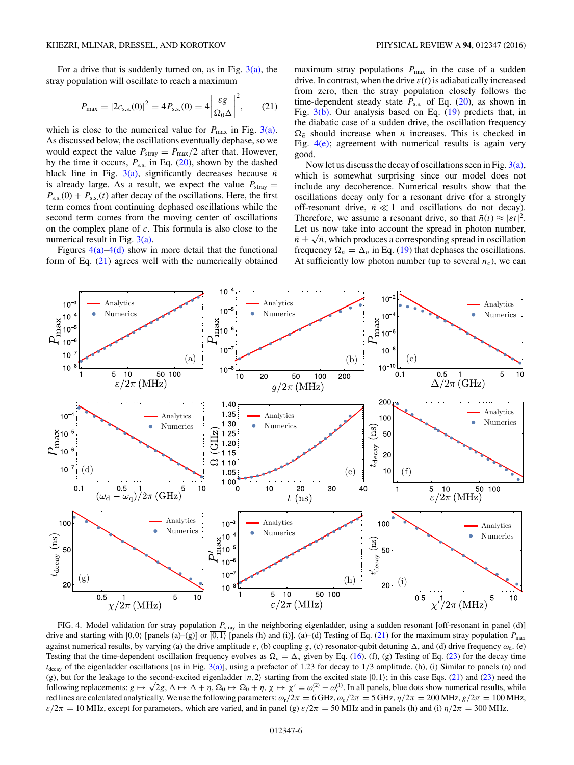<span id="page-5-0"></span>For a drive that is suddenly turned on, as in Fig.  $3(a)$ , the stray population will oscillate to reach a maximum

$$
P_{\text{max}} = |2c_{\text{s.s.}}(0)|^2 = 4P_{\text{s.s.}}(0) = 4\left|\frac{\varepsilon g}{\Omega_0 \Delta}\right|^2, \qquad (21)
$$

which is close to the numerical value for  $P_{\text{max}}$  in Fig. [3\(a\).](#page-4-0) As discussed below, the oscillations eventually dephase, so we would expect the value  $P_{\text{stray}} = P_{\text{max}}/2$  after that. However, by the time it occurs,  $P_{s.s.}$  in Eq. [\(20\)](#page-4-0), shown by the dashed black line in Fig.  $3(a)$ , significantly decreases because  $\bar{n}$ is already large. As a result, we expect the value  $P_{\text{stray}} =$  $P_{s,s}(0) + P_{s,s}(t)$  after decay of the oscillations. Here, the first term comes from continuing dephased oscillations while the second term comes from the moving center of oscillations on the complex plane of *c*. This formula is also close to the numerical result in Fig. [3\(a\).](#page-4-0)

Figures  $4(a)$ – $4(d)$  show in more detail that the functional form of Eq. (21) agrees well with the numerically obtained

maximum stray populations  $P_{\text{max}}$  in the case of a sudden drive. In contrast, when the drive  $\varepsilon(t)$  is adiabatically increased from zero, then the stray population closely follows the time-dependent steady state *P*s*.*s*.* of Eq. [\(20\)](#page-4-0), as shown in Fig. [3\(b\).](#page-4-0) Our analysis based on Eq. [\(19\)](#page-4-0) predicts that, in the diabatic case of a sudden drive, the oscillation frequency  $\Omega_{\bar{n}}$  should increase when  $\bar{n}$  increases. This is checked in Fig.  $4(e)$ ; agreement with numerical results is again very good.

Now let us discuss the decay of oscillations seen in Fig.  $3(a)$ , which is somewhat surprising since our model does not include any decoherence. Numerical results show that the oscillations decay only for a resonant drive (for a strongly off-resonant drive,  $\bar{n} \ll 1$  and oscillations do not decay). Therefore, we assume a resonant drive, so that  $\bar{n}(t) \approx |\varepsilon t|^2$ . Let us now take into account the spread in photon number,  $\bar{n} \pm \sqrt{\bar{n}}$ , which produces a corresponding spread in oscillation frequency  $\Omega_n = \Delta_n$  in Eq. [\(19\)](#page-4-0) that dephases the oscillations. At sufficiently low photon number (up to several  $n_c$ ), we can



FIG. 4. Model validation for stray population  $P_{\text{stray}}$  in the neighboring eigenladder, using a sudden resonant [off-resonant in panel (d)] drive and starting with  $(0,0)$  [panels (a)–(g)] or  $\overline{|0,1\rangle}$  [panels (h) and (i)]. (a)–(d) Testing of Eq. (21) for the maximum stray population  $P_{\text{max}}$ against numerical results, by varying (a) the drive amplitude  $\varepsilon$ , (b) coupling *g*, (c) resonator-qubit detuning Δ, and (d) drive frequency  $ω_d$ . (e) Testing that the time-dependent oscillation frequency evolves as  $\Omega_{\bar{n}} = \Delta_{\bar{n}}$  given by Eq. [\(16\)](#page-4-0). (f), (g) Testing of Eq. [\(23\)](#page-6-0) for the decay time *t*decay of the eigenladder oscillations [as in Fig. [3\(a\)\]](#page-4-0), using a prefactor of 1.23 for decay to 1*/*3 amplitude. (h), (i) Similar to panels (a) and (g), but for the leakage to the second-excited eigenladder  $|n, 2\rangle$  starting from the excited state  $|0, 1\rangle$ ; in this case Eqs. (21) and [\(23\)](#page-6-0) need the (g), but for the leakage to the second-excited eigenladder  $|n, z\rangle$  starting from the excited state  $|0, 1\rangle$ ; in this case Eqs. (21) and (23) need the following replacements:  $g \mapsto \sqrt{2}g$ ,  $\Delta \mapsto \Delta + \eta$ ,  $\Omega_0 \mapsto \Omega_0 + \eta$ , red lines are calculated analytically. We use the following parameters:  $\omega_r/2\pi = 6$  GHz,  $\omega_q/2\pi = 5$  GHz,  $\eta/2\pi = 200$  MHz,  $g/2\pi = 100$  MHz, *ε/*2*π* = 10 MHz, except for parameters, which are varied, and in panel (g)  $ε/2π$  = 50 MHz and in panels (h) and (i)  $η/2π$  = 300 MHz.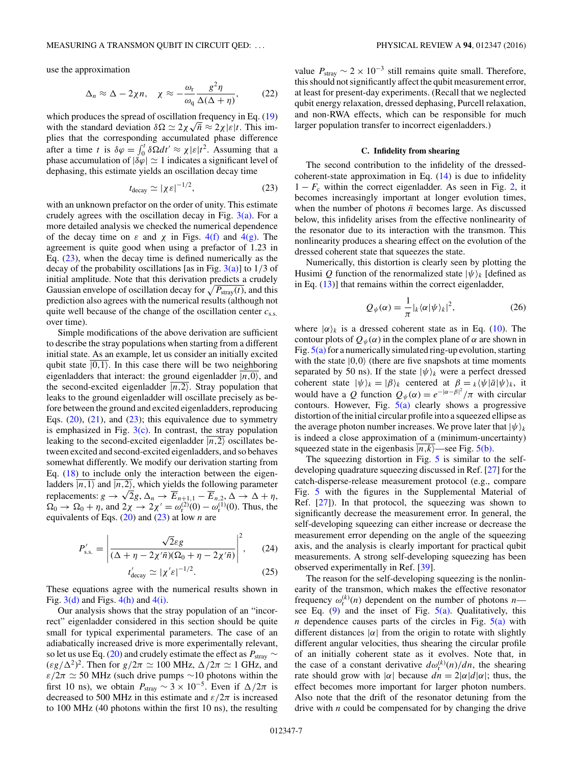<span id="page-6-0"></span>use the approximation

$$
\Delta_n \approx \Delta - 2\chi n, \quad \chi \approx -\frac{\omega_r}{\omega_q} \frac{g^2 \eta}{\Delta(\Delta + \eta)}, \tag{22}
$$

which produces the spread of oscillation frequency in Eq.  $(19)$ which produces the spread of oscillation frequency in Eq. (19)<br>with the standard deviation  $\delta\Omega \simeq 2\chi\sqrt{\bar{n}} \approx 2\chi |\varepsilon|t$ . This implies that the corresponding accumulated phase difference after a time *t* is  $\delta \varphi = \int_0^t \delta \Omega dt' \approx \chi |\varepsilon| t^2$ . Assuming that a phase accumulation of  $|\delta \varphi| \simeq 1$  indicates a significant level of dephasing, this estimate yields an oscillation decay time

$$
t_{\text{decay}} \simeq |\chi \varepsilon|^{-1/2},\tag{23}
$$

with an unknown prefactor on the order of unity. This estimate crudely agrees with the oscillation decay in Fig.  $3(a)$ . For a more detailed analysis we checked the numerical dependence of the decay time on  $\varepsilon$  and  $\chi$  in Figs. [4\(f\)](#page-5-0) and [4\(g\).](#page-5-0) The agreement is quite good when using a prefactor of 1.23 in Eq.  $(23)$ , when the decay time is defined numerically as the decay of the probability oscillations [as in Fig. [3\(a\)\]](#page-4-0) to 1*/*3 of initial amplitude. Note that this derivation predicts a crudely Gaussian envelope of oscillation decay for  $\sqrt{P_{\text{stray}}(t)}$ , and this prediction also agrees with the numerical results (although not quite well because of the change of the oscillation center *c*s*.*s*.* over time).

Simple modifications of the above derivation are sufficient to describe the stray populations when starting from a different initial state. As an example, let us consider an initially excited qubit state  $|0,1\rangle$ . In this case there will be two neighboring eigenladders that interact: the ground eigenladder  $\overline{|n,0\rangle}$ , and the second-excited eigenladder  $\overline{(n,2)}$ . Stray population that leaks to the ground eigenladder will oscillate precisely as before between the ground and excited eigenladders, reproducing Eqs.  $(20)$ ,  $(21)$ , and  $(23)$ ; this equivalence due to symmetry is emphasized in Fig.  $3(c)$ . In contrast, the stray population leaking to the second-excited eigenladder  $\overline{|n,2\rangle}$  oscillates between excited and second-excited eigenladders, and so behaves somewhat differently. We modify our derivation starting from Eq.  $(18)$  to include only the interaction between the eigenladders  $\overline{|n,1\rangle}$  and  $\overline{|n,2\rangle}$ , which yields the following parameter replacements:  $g \to \sqrt{2}g$ ,  $\Delta_n \to \overline{E}_{n+1,1} - \overline{E}_{n,2}, \Delta \to \Delta + \eta$ ,  $\Omega_0 \to \Omega_0 + \eta$ , and  $2\chi \to 2\chi' = \omega_{\rm r}^{(2)}(0) - \omega_{\rm r}^{(1)}(0)$ . Thus, the equivalents of Eqs. [\(20\)](#page-4-0) and (23) at low *n* are

$$
P'_{\rm s.s.} = \left| \frac{\sqrt{2}\varepsilon g}{(\Delta + \eta - 2\chi'\bar{n})(\Omega_0 + \eta - 2\chi'\bar{n})} \right|^2, \qquad (24)
$$

$$
\zeta'_{\text{decay}} \simeq |\chi'\varepsilon|^{-1/2}.\tag{25}
$$

These equations agree with the numerical results shown in Fig.  $3(d)$  and Figs.  $4(h)$  and  $4(i)$ .

*t*

Our analysis shows that the stray population of an "incorrect" eigenladder considered in this section should be quite small for typical experimental parameters. The case of an adiabatically increased drive is more experimentally relevant, so let us use Eq. [\(20\)](#page-4-0) and crudely estimate the effect as  $P_{\text{stray}} \sim$  $(\varepsilon g/\Delta^2)^2$ . Then for  $g/2\pi \simeq 100$  MHz,  $\Delta/2\pi \simeq 1$  GHz, and  $\varepsilon/2\pi \simeq 50$  MHz (such drive pumps ~10 photons within the first 10 ns), we obtain  $P_{\text{stray}} \sim 3 \times 10^{-5}$ . Even if  $\Delta/2\pi$  is decreased to 500 MHz in this estimate and  $\varepsilon/2\pi$  is increased to 100 MHz (40 photons within the first 10 ns), the resulting value  $P_{\text{stray}}$  ~ 2 × 10<sup>-3</sup> still remains quite small. Therefore, this should not significantly affect the qubit measurement error, at least for present-day experiments. (Recall that we neglected qubit energy relaxation, dressed dephasing, Purcell relaxation, and non-RWA effects, which can be responsible for much larger population transfer to incorrect eigenladders.)

## **C. Infidelity from shearing**

The second contribution to the infidelity of the dressedcoherent-state approximation in Eq.  $(14)$  is due to infidelity  $1 - F_c$  within the correct eigenladder. As seen in Fig. [2,](#page-3-0) it becomes increasingly important at longer evolution times, when the number of photons  $\bar{n}$  becomes large. As discussed below, this infidelity arises from the effective nonlinearity of the resonator due to its interaction with the transmon. This nonlinearity produces a shearing effect on the evolution of the dressed coherent state that squeezes the state.

Numerically, this distortion is clearly seen by plotting the Husimi Q function of the renormalized state  $|\psi\rangle_k$  [defined as in Eq.  $(13)$ ] that remains within the correct eigenladder,

$$
Q_{\psi}(\alpha) = \frac{1}{\pi} |_{k} \langle \alpha | \psi \rangle_{k} |^{2}, \qquad (26)
$$

where  $|\alpha\rangle_k$  is a dressed coherent state as in Eq. [\(10\)](#page-3-0). The contour plots of  $Q_{\psi}(\alpha)$  in the complex plane of  $\alpha$  are shown in Fig.  $5(a)$  for a numerically simulated ring-up evolution, starting with the state  $|0,0\rangle$  (there are five snapshots at time moments separated by 50 ns). If the state  $|\psi\rangle_k$  were a perfect dressed coherent state  $|\psi\rangle_k = |\beta\rangle_k$  centered at  $\beta = \frac{k}{\psi} \langle \psi | \bar{a} | \psi \rangle_k$ , it would have a *Q* function  $Q_{\psi}(\alpha) = e^{-|\alpha-\beta|^2}/\pi$  with circular contours. However, Fig.  $5(a)$  clearly shows a progressive distortion of the initial circular profile into a squeezed ellipse as the average photon number increases. We prove later that  $|\psi\rangle_k$ is indeed a close approximation of a (minimum-uncertainty) squeezed state in the eigenbasis  $\overline{|n,k\rangle}$ —see Fig. [5\(b\).](#page-7-0)

The squeezing distortion in Fig. [5](#page-7-0) is similar to the selfdeveloping quadrature squeezing discussed in Ref. [\[27\]](#page-15-0) for the catch-disperse-release measurement protocol (e.g., compare Fig. [5](#page-7-0) with the figures in the Supplemental Material of Ref.  $[27]$ ). In that protocol, the squeezing was shown to significantly decrease the measurement error. In general, the self-developing squeezing can either increase or decrease the measurement error depending on the angle of the squeezing axis, and the analysis is clearly important for practical qubit measurements. A strong self-developing squeezing has been observed experimentally in Ref. [\[39\]](#page-15-0).

The reason for the self-developing squeezing is the nonlinearity of the transmon, which makes the effective resonator frequency  $\omega_r^{(k)}(n)$  dependent on the number of photons *n* see Eq.  $(9)$  and the inset of Fig.  $5(a)$ . Qualitatively, this *n* dependence causes parts of the circles in Fig.  $5(a)$  with different distances  $|\alpha|$  from the origin to rotate with slightly different angular velocities, thus shearing the circular profile of an initially coherent state as it evolves. Note that, in the case of a constant derivative  $d\omega_{\rm r}^{(k)}(n)/dn$ , the shearing rate should grow with  $|\alpha|$  because  $dn = 2|\alpha|d|\alpha|$ ; thus, the effect becomes more important for larger photon numbers. Also note that the drift of the resonator detuning from the drive with *n* could be compensated for by changing the drive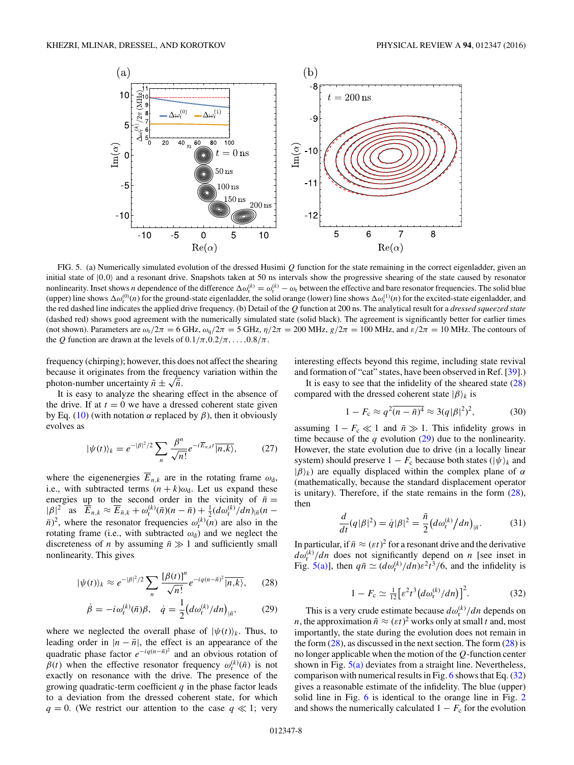<span id="page-7-0"></span>

FIG. 5. (a) Numerically simulated evolution of the dressed Husimi *Q* function for the state remaining in the correct eigenladder, given an initial state of  $|0,0\rangle$  and a resonant drive. Snapshots taken at 50 ns intervals show the progressive shearing of the state caused by resonator nonlinearity. Inset shows *n* dependence of the difference  $\Delta \omega_r^{(k)} = \omega_r^{(k)} - \omega_r$  between the effective and bare resonator frequencies. The solid blue (upper) line shows  $\Delta \omega_r^{(0)}(n)$  for the ground-state eigenladder, the solid orange (lower) line shows  $\Delta \omega_r^{(1)}(n)$  for the excited-state eigenladder, and the red dashed line indicates the applied drive frequency. (b) Detail of the *Q* function at 200 ns. The analytical result for a *dressed squeezed state* (dashed red) shows good agreement with the numerically simulated state (solid black). The agreement is significantly better for earlier times (not shown). Parameters are  $\omega_r/2\pi = 6$  GHz,  $\omega_q/2\pi = 5$  GHz,  $\eta/2\pi = 200$  MHz,  $g/2\pi = 100$  MHz, and  $\varepsilon/2\pi = 10$  MHz. The contours of the *Q* function are drawn at the levels of  $0.1/\pi, 0.2/\pi, \ldots, 0.8/\pi$ .

frequency (chirping); however, this does not affect the shearing because it originates from the frequency variation within the photon-number uncertainty  $\bar{n} \pm \sqrt{\bar{n}}$ .

It is easy to analyze the shearing effect in the absence of the drive. If at  $t = 0$  we have a dressed coherent state given by Eq. [\(10\)](#page-3-0) (with notation *α* replaced by *β*), then it obviously evolves as

$$
|\psi(t)\rangle_k = e^{-|\beta|^2/2} \sum_n \frac{\beta^n}{\sqrt{n!}} e^{-i\overline{E}_{n,k}t} \overline{|n,k\rangle},\tag{27}
$$

where the eigenenergies  $\overline{E}_{n,k}$  are in the rotating frame  $\omega_{d}$ , i.e., with subtracted terms  $(n + k)\omega_d$ . Let us expand these energies up to the second order in the vicinity of  $\bar{n}$  =  $|\beta|^2$  as  $\overline{E}_{n,k} \approx \overline{E}_{\bar{n},k} + \omega_{\rm r}^{(k)}(\bar{n})(n - \bar{n}) + \frac{1}{2}(d\omega_{\rm r}^{(k)}/dn)_{|\bar{n}}(n - \bar{n})$  $\bar{n}$ <sup>2</sup>, where the resonator frequencies  $\omega_r^{(k)}(n)$  are also in the rotating frame (i.e., with subtracted  $\omega_d$ ) and we neglect the discreteness of *n* by assuming  $\bar{n} \gg 1$  and sufficiently small nonlinearity. This gives

$$
|\psi(t)\rangle_k \approx e^{-|\beta|^2/2} \sum_n \frac{[\beta(t)]^n}{\sqrt{n!}} e^{-iq(n-\bar{n})^2} \overline{|n,k\rangle},\qquad(28)
$$

$$
\dot{\beta} = -i\omega_{\rm r}^{(k)}(\bar{n})\beta, \quad \dot{q} = \frac{1}{2} \left( d\omega_{\rm r}^{(k)}/dn \right)_{|\bar{n}}, \tag{29}
$$

where we neglected the overall phase of  $|\psi(t)\rangle_k$ . Thus, to leading order in  $|n - \bar{n}|$ , the effect is an appearance of the quadratic phase factor  $e^{-iq(n-\bar{n})^2}$  and an obvious rotation of  $\beta(t)$  when the effective resonator frequency  $\omega_{\rm r}^{(k)}(\bar{n})$  is not exactly on resonance with the drive. The presence of the growing quadratic-term coefficient *q* in the phase factor leads to a deviation from the dressed coherent state, for which  $q = 0$ . (We restrict our attention to the case  $q \ll 1$ ; very

interesting effects beyond this regime, including state revival and formation of "cat" states, have been observed in Ref. [\[39\]](#page-15-0).)

It is easy to see that the infidelity of the sheared state (28) compared with the dressed coherent state  $|\beta\rangle_k$  is

$$
1 - F_c \approx q^2 \overline{(n - \bar{n})^4} \approx 3(q|\beta|^2)^2, \tag{30}
$$

assuming  $1 - F_c \ll 1$  and  $\bar{n} \gg 1$ . This infidelity grows in time because of the  $q$  evolution  $(29)$  due to the nonlinearity. However, the state evolution due to drive (in a locally linear system) should preserve  $1 - F_c$  because both states  $(|\psi\rangle_k$  and  $|\beta\rangle_k$ ) are equally displaced within the complex plane of *α* (mathematically, because the standard displacement operator is unitary). Therefore, if the state remains in the form  $(28)$ , then

$$
\frac{d}{dt}(q|\beta|^2) = \dot{q}|\beta|^2 = \frac{\bar{n}}{2} \left( d\omega_{\rm r}^{(k)} / dn \right)_{|\bar{n}}.
$$
 (31)

In particular, if  $\bar{n} \approx (\varepsilon t)^2$  for a resonant drive and the derivative  $d\omega_{\rm r}^{(k)}/dn$  does not significantly depend on *n* [see inset in Fig. 5(a)], then  $q\bar{n} \simeq (d\omega_r^{(k)}/dn)\varepsilon^2 t^3/6$ , and the infidelity is

$$
1 - F_c \simeq \frac{1}{12} \big[ \varepsilon^2 t^3 \big( d\omega_r^{(k)} / dn \big) \big]^2. \tag{32}
$$

This is a very crude estimate because  $d\omega_{\rm r}^{(k)}/dn$  depends on *n*, the approximation  $\bar{n} \approx (\varepsilon t)^2$  works only at small *t* and, most importantly, the state during the evolution does not remain in the form  $(28)$ , as discussed in the next section. The form  $(28)$  is no longer applicable when the motion of the *Q*-function center shown in Fig.  $5(a)$  deviates from a straight line. Nevertheless, comparison with numerical results in Fig. [6](#page-8-0) shows that Eq.  $(32)$ gives a reasonable estimate of the infidelity. The blue (upper) solid line in Fig. [6](#page-8-0) is identical to the orange line in Fig. [2](#page-3-0) and shows the numerically calculated  $1 - F_c$  for the evolution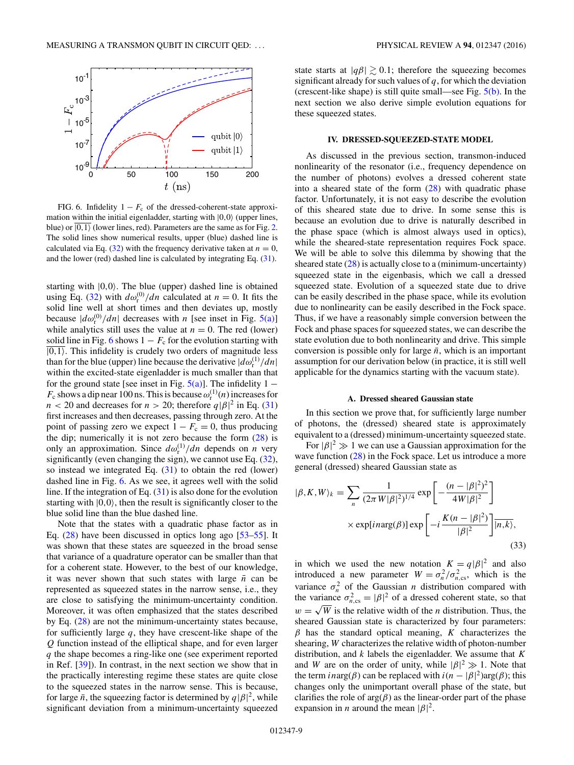<span id="page-8-0"></span>

FIG. 6. Infidelity  $1 - F_c$  of the dressed-coherent-state approximation within the initial eigenladder, starting with  $|0,0\rangle$  (upper lines, blue) or  $\overline{|0,1\rangle}$  (lower lines, red). Parameters are the same as for Fig. [2.](#page-3-0) The solid lines show numerical results, upper (blue) dashed line is calculated via Eq. [\(32\)](#page-7-0) with the frequency derivative taken at  $n = 0$ , and the lower (red) dashed line is calculated by integrating Eq. [\(31\)](#page-7-0).

starting with  $|0,0\rangle$ . The blue (upper) dashed line is obtained using Eq. [\(32\)](#page-7-0) with  $d\omega_{\rm r}^{(0)}/dn$  calculated at  $n = 0$ . It fits the solid line well at short times and then deviates up, mostly because  $|d\omega_{\rm r}^{(0)}/dn|$  decreases with *n* [see inset in Fig. [5\(a\)\]](#page-7-0) while analytics still uses the value at  $n = 0$ . The red (lower) solid line in Fig. 6 shows  $1 - F_c$  for the evolution starting with  $\overline{|0,1\rangle}$ . This infidelity is crudely two orders of magnitude less than for the blue (upper) line because the derivative  $|d\omega_{\rm r}^{(1)}/dn|$ within the excited-state eigenladder is much smaller than that for the ground state [see inset in Fig.  $5(a)$ ]. The infidelity 1 –  $F_c$  shows a dip near 100 ns. This is because  $\omega_r^{(1)}(n)$  increases for  $n < 20$  and decreases for  $n > 20$ ; therefore  $q|\beta|^2$  in Eq. [\(31\)](#page-7-0) first increases and then decreases, passing through zero. At the point of passing zero we expect  $1 - F_c = 0$ , thus producing the dip; numerically it is not zero because the form  $(28)$  is only an approximation. Since  $d\omega_{r}^{(1)}/dn$  depends on *n* very significantly (even changing the sign), we cannot use Eq. [\(32\)](#page-7-0), so instead we integrated Eq. [\(31\)](#page-7-0) to obtain the red (lower) dashed line in Fig. 6. As we see, it agrees well with the solid line. If the integration of Eq.  $(31)$  is also done for the evolution starting with  $|0,0\rangle$ , then the result is significantly closer to the blue solid line than the blue dashed line.

Note that the states with a quadratic phase factor as in Eq.  $(28)$  have been discussed in optics long ago  $[53-55]$  $[53-55]$ . It was shown that these states are squeezed in the broad sense that variance of a quadrature operator can be smaller than that for a coherent state. However, to the best of our knowledge, it was never shown that such states with large  $\bar{n}$  can be represented as squeezed states in the narrow sense, i.e., they are close to satisfying the minimum-uncertainty condition. Moreover, it was often emphasized that the states described by Eq. [\(28\)](#page-7-0) are not the minimum-uncertainty states because, for sufficiently large *q*, they have crescent-like shape of the *Q* function instead of the elliptical shape, and for even larger *q* the shape becomes a ring-like one (see experiment reported in Ref. [\[39\]](#page-15-0)). In contrast, in the next section we show that in the practically interesting regime these states are quite close to the squeezed states in the narrow sense. This is because, for large  $\bar{n}$ , the squeezing factor is determined by  $q|\beta|^2$ , while significant deviation from a minimum-uncertainty squeezed

state starts at  $|q\beta| \gtrsim 0.1$ ; therefore the squeezing becomes significant already for such values of *q*, for which the deviation (crescent-like shape) is still quite small—see Fig. [5\(b\).](#page-7-0) In the next section we also derive simple evolution equations for these squeezed states.

## **IV. DRESSED-SQUEEZED-STATE MODEL**

As discussed in the previous section, transmon-induced nonlinearity of the resonator (i.e., frequency dependence on the number of photons) evolves a dressed coherent state into a sheared state of the form  $(28)$  with quadratic phase factor. Unfortunately, it is not easy to describe the evolution of this sheared state due to drive. In some sense this is because an evolution due to drive is naturally described in the phase space (which is almost always used in optics), while the sheared-state representation requires Fock space. We will be able to solve this dilemma by showing that the sheared state  $(28)$  is actually close to a (minimum-uncertainty) squeezed state in the eigenbasis, which we call a dressed squeezed state. Evolution of a squeezed state due to drive can be easily described in the phase space, while its evolution due to nonlinearity can be easily described in the Fock space. Thus, if we have a reasonably simple conversion between the Fock and phase spaces for squeezed states, we can describe the state evolution due to both nonlinearity and drive. This simple conversion is possible only for large  $\bar{n}$ , which is an important assumption for our derivation below (in practice, it is still well applicable for the dynamics starting with the vacuum state).

#### **A. Dressed sheared Gaussian state**

In this section we prove that, for sufficiently large number of photons, the (dressed) sheared state is approximately equivalent to a (dressed) minimum-uncertainty squeezed state.

For  $|\beta|^2 \gg 1$  we can use a Gaussian approximation for the wave function [\(28\)](#page-7-0) in the Fock space. Let us introduce a more general (dressed) sheared Gaussian state as

$$
|\beta, K, W\rangle_k = \sum_{n} \frac{1}{(2\pi W|\beta|^2)^{1/4}} \exp\left[-\frac{(n - |\beta|^2)^2}{4W|\beta|^2}\right] \times \exp[inarg(\beta)] \exp\left[-i\frac{K(n - |\beta|^2)}{|\beta|^2}\right] \overline{|n, k\rangle},\tag{33}
$$

in which we used the new notation  $K = q|\beta|^2$  and also introduced a new parameter  $W = \sigma_n^2 / \sigma_{n,\text{cs}}^2$ , which is the variance  $\sigma_n^2$  of the Gaussian *n* distribution compared with the variance  $\sigma_{n,\text{cs}}^2 = |\beta|^2$  of a dressed coherent state, so that  $w = \sqrt{W}$  is the relative width of the *n* distribution. Thus, the sheared Gaussian state is characterized by four parameters: *β* has the standard optical meaning, *K* characterizes the shearing, *W* characterizes the relative width of photon-number distribution, and *k* labels the eigenladder. We assume that *K* and *W* are on the order of unity, while  $|\beta|^2 \gg 1$ . Note that the term *in*arg( $\beta$ ) can be replaced with  $i(n - |\beta|^2) \arg(\beta)$ ; this changes only the unimportant overall phase of the state, but clarifies the role of  $arg(\beta)$  as the linear-order part of the phase expansion in *n* around the mean  $|\beta|^2$ .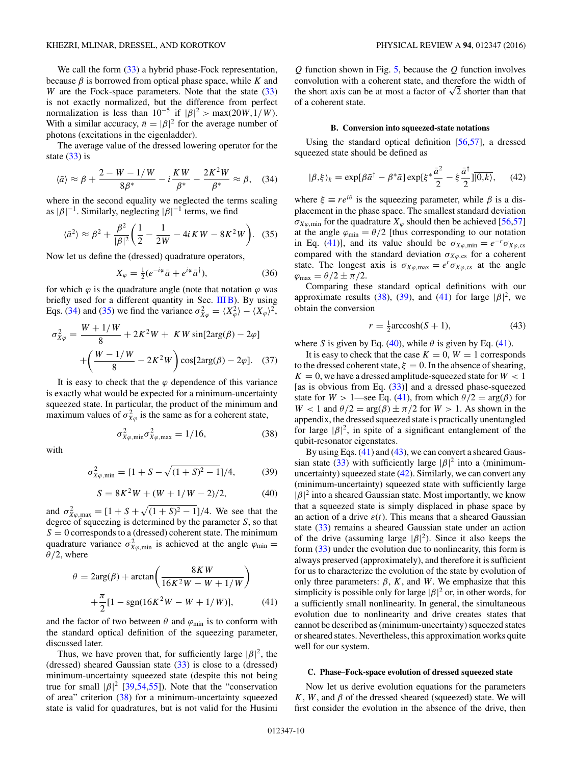<span id="page-9-0"></span>We call the form  $(33)$  a hybrid phase-Fock representation, because  $\beta$  is borrowed from optical phase space, while  $K$  and *W* are the Fock-space parameters. Note that the state [\(33\)](#page-8-0) is not exactly normalized, but the difference from perfect normalization is less than  $10^{-5}$  if  $|\beta|^2 > \max(20W, 1/W)$ . With a similar accuracy,  $\bar{n} = |\beta|^2$  for the average number of photons (excitations in the eigenladder).

The average value of the dressed lowering operator for the state  $(33)$  is

$$
\langle \bar{a} \rangle \approx \beta + \frac{2 - W - 1/W}{8\beta^*} - i\frac{KW}{\beta^*} - \frac{2K^2W}{\beta^*} \approx \beta, \quad (34)
$$

where in the second equality we neglected the terms scaling as  $|\beta|^{-1}$ . Similarly, neglecting  $|\beta|^{-1}$  terms, we find

$$
\langle \bar{a}^2 \rangle \approx \beta^2 + \frac{\beta^2}{|\beta|^2} \bigg( \frac{1}{2} - \frac{1}{2W} - 4iKW - 8K^2W \bigg). \tag{35}
$$

Now let us define the (dressed) quadrature operators,

$$
X_{\varphi} = \frac{1}{2} (e^{-i\varphi} \bar{a} + e^{i\varphi} \bar{a}^{\dagger}), \tag{36}
$$

for which  $\varphi$  is the quadrature angle (note that notation  $\varphi$  was briefly used for a different quantity in Sec.  $III$  B). By using Eqs. (34) and (35) we find the variance  $\sigma_{X\varphi}^2 = \langle X_{\varphi}^2 \rangle - \langle X_{\varphi} \rangle^2$ ,

$$
\sigma_{X\varphi}^2 = \frac{W + 1/W}{8} + 2K^2W + KW \sin[2\arg(\beta) - 2\varphi]
$$

$$
+ \left(\frac{W - 1/W}{8} - 2K^2W\right) \cos[2\arg(\beta) - 2\varphi]. \quad (37)
$$

It is easy to check that the  $\varphi$  dependence of this variance is exactly what would be expected for a minimum-uncertainty squeezed state. In particular, the product of the minimum and maximum values of  $\sigma_{X\varphi}^2$  is the same as for a coherent state,

$$
\sigma_{X\varphi,\min}^2 \sigma_{X\varphi,\max}^2 = 1/16, \tag{38}
$$

with

$$
\sigma_{X\varphi,\min}^2 = [1 + S - \sqrt{(1 + S)^2 - 1}]/4,\tag{39}
$$

$$
S = 8K^2W + (W + 1/W - 2)/2, \tag{40}
$$

and  $\sigma_{X\varphi,\text{max}}^2 = [1 + S + \sqrt{(1 + S)^2 - 1}]/4$ . We see that the degree of squeezing is determined by the parameter *S*, so that  $S = 0$  corresponds to a (dressed) coherent state. The minimum quadrature variance  $\sigma_{X\varphi,\text{min}}^2$  is achieved at the angle  $\varphi_{\text{min}} =$ *θ/*2, where

$$
\theta = 2\arg(\beta) + \arctan\left(\frac{8KW}{16K^2W - W + 1/W}\right) + \frac{\pi}{2}[1 - \text{sgn}(16K^2W - W + 1/W)], \tag{41}
$$

and the factor of two between  $\theta$  and  $\varphi$ <sub>min</sub> is to conform with the standard optical definition of the squeezing parameter, discussed later.

Thus, we have proven that, for sufficiently large  $|\beta|^2$ , the (dressed) sheared Gaussian state  $(33)$  is close to a (dressed) minimum-uncertainty squeezed state (despite this not being true for small  $|\beta|^2$  [\[39,](#page-15-0)[54,55\]](#page-16-0)). Note that the "conservation of area" criterion (38) for a minimum-uncertainty squeezed state is valid for quadratures, but is not valid for the Husimi

*Q* function shown in Fig. [5,](#page-7-0) because the *Q* function involves convolution with a coherent state, and therefore the width of the short axis can be at most a factor of  $\sqrt{2}$  shorter than that of a coherent state.

## **B. Conversion into squeezed-state notations**

Using the standard optical definition [\[56,57\]](#page-16-0), a dressed squeezed state should be defined as

$$
|\beta,\xi\rangle_k = \exp[\beta \bar{a}^\dagger - \beta^* \bar{a}] \exp[\xi^* \frac{\bar{a}^2}{2} - \xi \frac{\bar{a}^\dagger}{2}] \overline{|0,k\rangle}, \quad (42)
$$

where  $\xi \equiv re^{i\theta}$  is the squeezing parameter, while  $\beta$  is a displacement in the phase space. The smallest standard deviation  $\sigma_{X\varphi,\text{min}}$  for the quadrature  $X_{\varphi}$  should then be achieved [\[56,57\]](#page-16-0) at the angle  $\varphi_{\text{min}} = \theta/2$  [thus corresponding to our notation in Eq. (41)], and its value should be  $\sigma_{X\varphi,\text{min}} = e^{-r}\sigma_{X\varphi,\text{cs}}$ compared with the standard deviation  $\sigma_{X\varphi,cs}$  for a coherent state. The longest axis is  $\sigma_{X\varphi,\text{max}} = e^r \sigma_{X\varphi,\text{cs}}$  at the angle  $\varphi_{\text{max}} = \theta/2 \pm \pi/2.$ 

Comparing these standard optical definitions with our approximate results (38), (39), and (41) for large  $|\beta|^2$ , we obtain the conversion

$$
r = \frac{1}{2}\text{arccosh}(S+1),\tag{43}
$$

where *S* is given by Eq. (40), while  $\theta$  is given by Eq. (41).

It is easy to check that the case  $K = 0$ ,  $W = 1$  corresponds to the dressed coherent state,  $\xi = 0$ . In the absence of shearing,  $K = 0$ , we have a dressed amplitude-squeezed state for  $W < 1$ [as is obvious from Eq.  $(33)$ ] and a dressed phase-squeezed state for  $W > 1$ —see Eq. (41), from which  $\theta/2 = \arg(\beta)$  for *W* < 1 and  $\theta/2 = \arg(\beta) \pm \pi/2$  for *W* > 1. As shown in the appendix, the dressed squeezed state is practically unentangled for large  $|\beta|^2$ , in spite of a significant entanglement of the qubit-resonator eigenstates.

By using Eqs.  $(41)$  and  $(43)$ , we can convert a sheared Gaus-sian state [\(33\)](#page-8-0) with sufficiently large  $|\beta|^2$  into a (minimumuncertainty) squeezed state (42). Similarly, we can convert any (minimum-uncertainty) squeezed state with sufficiently large  $|\beta|^2$  into a sheared Gaussian state. Most importantly, we know that a squeezed state is simply displaced in phase space by an action of a drive  $\varepsilon(t)$ . This means that a sheared Gaussian state [\(33\)](#page-8-0) remains a sheared Gaussian state under an action of the drive (assuming large  $|\beta|^2$ ). Since it also keeps the form  $(33)$  under the evolution due to nonlinearity, this form is always preserved (approximately), and therefore it is sufficient for us to characterize the evolution of the state by evolution of only three parameters:  $\beta$ ,  $K$ , and  $W$ . We emphasize that this simplicity is possible only for large  $|\beta|^2$  or, in other words, for a sufficiently small nonlinearity. In general, the simultaneous evolution due to nonlinearity and drive creates states that cannot be described as (minimum-uncertainty) squeezed states or sheared states. Nevertheless, this approximation works quite well for our system.

#### **C. Phase–Fock-space evolution of dressed squeezed state**

Now let us derive evolution equations for the parameters  $K$ ,  $W$ , and  $\beta$  of the dressed sheared (squeezed) state. We will first consider the evolution in the absence of the drive, then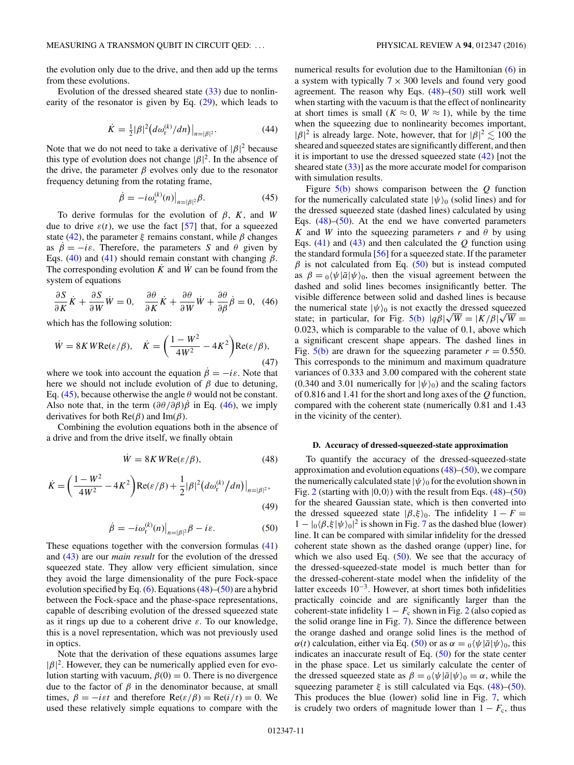<span id="page-10-0"></span>the evolution only due to the drive, and then add up the terms from these evolutions.

Evolution of the dressed sheared state  $(33)$  due to nonlinearity of the resonator is given by Eq. [\(29\)](#page-7-0), which leads to

$$
\dot{K} = \frac{1}{2} |\beta|^2 (d\omega_{\rm r}^{(k)}/dn)|_{n=|\beta|^2}.
$$
 (44)

Note that we do not need to take a derivative of  $|\beta|^2$  because this type of evolution does not change  $|\beta|^2$ . In the absence of the drive, the parameter  $\beta$  evolves only due to the resonator frequency detuning from the rotating frame,

$$
\dot{\beta} = -i\omega_{\rm r}^{(k)}(n)|_{n=|\beta|^2}\beta.
$$
\n(45)

To derive formulas for the evolution of *β*, *K*, and *W* due to drive  $\varepsilon(t)$ , we use the fact [\[57\]](#page-16-0) that, for a squeezed state [\(42\)](#page-9-0), the parameter *ξ* remains constant, while *β* changes as  $\beta = -i\varepsilon$ . Therefore, the parameters *S* and  $\theta$  given by Eqs. [\(40\)](#page-9-0) and [\(41\)](#page-9-0) should remain constant with changing  $\beta$ . The corresponding evolution  $\hat{K}$  and  $\hat{W}$  can be found from the system of equations

$$
\frac{\partial S}{\partial K}\dot{K} + \frac{\partial S}{\partial W}\dot{W} = 0, \quad \frac{\partial \theta}{\partial K}\dot{K} + \frac{\partial \theta}{\partial W}\dot{W} + \frac{\partial \theta}{\partial \beta}\dot{\beta} = 0, \quad (46)
$$

which has the following solution:

$$
\dot{W} = 8K W \text{Re}(\varepsilon/\beta), \quad \dot{K} = \left(\frac{1 - W^2}{4W^2} - 4K^2\right) \text{Re}(\varepsilon/\beta),\tag{47}
$$

where we took into account the equation  $\dot{\beta} = -i\varepsilon$ . Note that here we should not include evolution of  $\beta$  due to detuning, Eq. (45), because otherwise the angle  $\theta$  would not be constant. Also note that, in the term  $(\partial \theta / \partial \beta)$ *β* in Eq. (46), we imply derivatives for both Re(*β*) and Im(*β*).

Combining the evolution equations both in the absence of a drive and from the drive itself, we finally obtain

$$
\dot{W} = 8KWRe(\varepsilon/\beta),\tag{48}
$$

$$
\dot{K} = \left(\frac{1 - W^2}{4W^2} - 4K^2\right) \text{Re}(\varepsilon/\beta) + \frac{1}{2} |\beta|^2 \left(d\omega_r^{(k)}/dn\right)|_{n = |\beta|^2},\tag{49}
$$

$$
\dot{\beta} = -i\omega_{\rm r}^{(k)}(n)|_{n=|\beta|^2} \beta - i\varepsilon. \tag{50}
$$

These equations together with the conversion formulas [\(41\)](#page-9-0) and [\(43\)](#page-9-0) are our *main result* for the evolution of the dressed squeezed state. They allow very efficient simulation, since they avoid the large dimensionality of the pure Fock-space evolution specified by Eq.  $(6)$ . Equations  $(48)$ – $(50)$  are a hybrid between the Fock-space and the phase-space representations, capable of describing evolution of the dressed squeezed state as it rings up due to a coherent drive *ε*. To our knowledge, this is a novel representation, which was not previously used in optics.

Note that the derivation of these equations assumes large  $|\beta|^2$ . However, they can be numerically applied even for evolution starting with vacuum,  $\beta(0) = 0$ . There is no divergence due to the factor of  $β$  in the denominator because, at small times,  $\beta = -i \varepsilon t$  and therefore  $\text{Re}(\varepsilon/\beta) = \text{Re}(i/t) = 0$ . We used these relatively simple equations to compare with the numerical results for evolution due to the Hamiltonian [\(6\)](#page-2-0) in a system with typically  $7 \times 300$  levels and found very good agreement. The reason why Eqs.  $(48)$ – $(50)$  still work well when starting with the vacuum is that the effect of nonlinearity at short times is small ( $K \approx 0$ ,  $W \approx 1$ ), while by the time when the squeezing due to nonlinearity becomes important,  $|\beta|^2$  is already large. Note, however, that for  $|\beta|^2 \lesssim 100$  the sheared and squeezed states are significantly different, and then it is important to use the dressed squeezed state [\(42\)](#page-9-0) [not the sheared state  $(33)$ ] as the more accurate model for comparison with simulation results.

Figure [5\(b\)](#page-7-0) shows comparison between the *Q* function for the numerically calculated state  $|\psi\rangle_0$  (solid lines) and for the dressed squeezed state (dashed lines) calculated by using Eqs.  $(48)$ – $(50)$ . At the end we have converted parameters *K* and *W* into the squeezing parameters *r* and  $\theta$  by using Eqs. [\(41\)](#page-9-0) and [\(43\)](#page-9-0) and then calculated the *Q* function using the standard formula [\[56\]](#page-16-0) for a squeezed state. If the parameter  $β$  is not calculated from Eq. (50) but is instead computed as  $\beta = \frac{\partial}{\psi} \left| \bar{a} \right| \psi$ , then the visual agreement between the dashed and solid lines becomes insignificantly better. The visible difference between solid and dashed lines is because the numerical state  $|\psi\rangle_0$  is not exactly the dressed squeezed the numerical state  $|\psi\rangle_0$  is not exactly the dressed squeezed state; in particular, for Fig. [5\(b\)](#page-7-0)  $|q\beta|\sqrt{W} = |K/\beta|\sqrt{W} =$ 0*.*023, which is comparable to the value of 0.1, above which a significant crescent shape appears. The dashed lines in Fig.  $5(b)$  are drawn for the squeezing parameter  $r = 0.550$ . This corresponds to the minimum and maximum quadrature variances of 0.333 and 3.00 compared with the coherent state (0.340 and 3.01 numerically for  $|\psi\rangle_0$ ) and the scaling factors of 0.816 and 1.41 for the short and long axes of the *Q* function, compared with the coherent state (numerically 0.81 and 1.43 in the vicinity of the center).

### **D. Accuracy of dressed-squeezed-state approximation**

To quantify the accuracy of the dressed-squeezed-state approximation and evolution equations (48)–(50), we compare the numerically calculated state  $|\psi\rangle_0$  for the evolution shown in Fig. [2](#page-3-0) (starting with  $|0,0\rangle$ ) with the result from Eqs.  $(48)$ – $(50)$ for the sheared Gaussian state, which is then converted into the dressed squeezed state  $|\beta,\xi\rangle_0$ . The infidelity  $1 - F =$  $1 - |0\rangle \beta, \xi |\psi\rangle_0|^2$  is shown in Fig. [7](#page-11-0) as the dashed blue (lower) line. It can be compared with similar infidelity for the dressed coherent state shown as the dashed orange (upper) line, for which we also used Eq.  $(50)$ . We see that the accuracy of the dressed-squeezed-state model is much better than for the dressed-coherent-state model when the infidelity of the latter exceeds  $10^{-3}$ . However, at short times both infidelities practically coincide and are significantly larger than the coherent-state infidelity  $1 - F_c$  shown in Fig. [2](#page-3-0) (also copied as the solid orange line in Fig. [7\)](#page-11-0). Since the difference between the orange dashed and orange solid lines is the method of *α*(*t*) calculation, either via Eq. (50) or as  $\alpha = \partial/\psi |\bar{a}|\psi\rangle_0$ , this indicates an inaccurate result of Eq. (50) for the state center in the phase space. Let us similarly calculate the center of the dressed squeezed state as  $\beta = 0 \langle \psi | \bar{a} | \psi \rangle_0 = \alpha$ , while the squeezing parameter  $\xi$  is still calculated via Eqs. (48)–(50). This produces the blue (lower) solid line in Fig. [7,](#page-11-0) which is crudely two orders of magnitude lower than  $1 - F_c$ , thus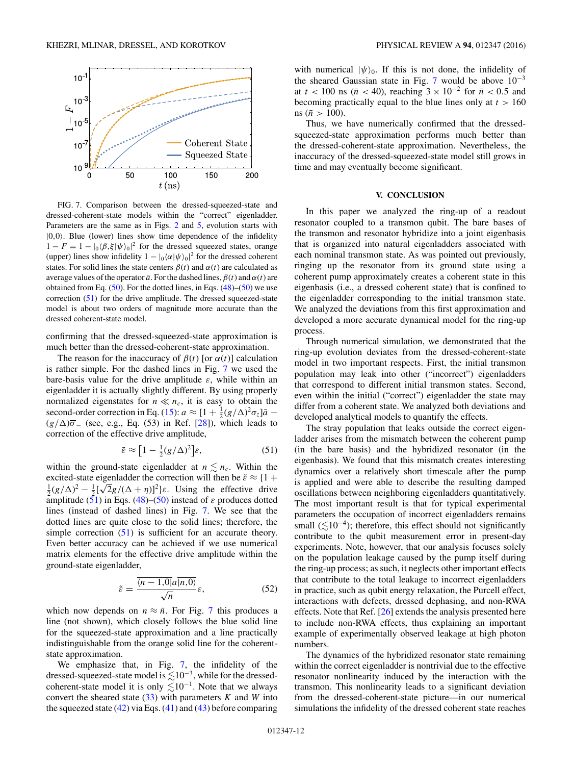<span id="page-11-0"></span>

FIG. 7. Comparison between the dressed-squeezed-state and dressed-coherent-state models within the "correct" eigenladder. Parameters are the same as in Figs. [2](#page-3-0) and [5,](#page-7-0) evolution starts with  $|0,0\rangle$ . Blue (lower) lines show time dependence of the infidelity  $1 - F = 1 - \left| \frac{\partial (\beta, \xi | \psi)_0}{\partial t} \right|^2$  for the dressed squeezed states, orange (upper) lines show infidelity  $1 - |0\rangle\langle\alpha|\psi\rangle\langle 0|^2$  for the dressed coherent states. For solid lines the state centers  $\beta(t)$  and  $\alpha(t)$  are calculated as average values of the operator  $\bar{a}$ . For the dashed lines,  $\beta(t)$  and  $\alpha(t)$  are obtained from Eq.  $(50)$ . For the dotted lines, in Eqs.  $(48)$ – $(50)$  we use correction (51) for the drive amplitude. The dressed squeezed-state model is about two orders of magnitude more accurate than the dressed coherent-state model.

confirming that the dressed-squeezed-state approximation is much better than the dressed-coherent-state approximation.

The reason for the inaccuracy of  $\beta(t)$  [or  $\alpha(t)$ ] calculation is rather simple. For the dashed lines in Fig. 7 we used the bare-basis value for the drive amplitude *ε*, while within an eigenladder it is actually slightly different. By using properly normalized eigenstates for  $n \ll n_c$ , it is easy to obtain the second-order correction in Eq. [\(15\)](#page-4-0):  $a \approx [1 + \frac{1}{2}(g/\Delta)^2 \sigma_z] \bar{a}$  –  $(g/\Delta)\overline{\sigma}$  (see, e.g., Eq. (53) in Ref. [\[28\]](#page-15-0)), which leads to correction of the effective drive amplitude,

$$
\tilde{\varepsilon} \approx \left[1 - \frac{1}{2}(g/\Delta)^2\right] \varepsilon,\tag{51}
$$

within the ground-state eigenladder at  $n \leq n_c$ . Within the excited-state eigenladder the correction will then be  $\tilde{ε} ≈ {1 +}$ excited-state eigenladder the correction will then be  $\varepsilon \approx \frac{1}{2}$  +  $\frac{1}{2}(g/\Delta)^2 - \frac{1}{2}[\sqrt{2}g/(\Delta + \eta)]^2$   $\varepsilon$ . Using the effective drive amplitude  $(51)$  in Eqs.  $(48)$ – $(50)$  instead of  $\varepsilon$  produces dotted lines (instead of dashed lines) in Fig. 7. We see that the dotted lines are quite close to the solid lines; therefore, the simple correction (51) is sufficient for an accurate theory. Even better accuracy can be achieved if we use numerical matrix elements for the effective drive amplitude within the ground-state eigenladder,

$$
\tilde{\varepsilon} = \frac{\overline{\langle n-1,0|a|n,0\rangle}}{\sqrt{n}}\varepsilon,\tag{52}
$$

which now depends on  $n \approx \bar{n}$ . For Fig. 7 this produces a line (not shown), which closely follows the blue solid line for the squeezed-state approximation and a line practically indistinguishable from the orange solid line for the coherentstate approximation.

We emphasize that, in Fig. 7, the infidelity of the dressed-squeezed-state model is  $\leq 10^{-3}$ , while for the dressedcoherent-state model it is only  $\lesssim 10^{-1}$ . Note that we always convert the sheared state  $(33)$  with parameters *K* and *W* into the squeezed state  $(42)$  via Eqs.  $(41)$  and  $(43)$  before comparing

with numerical  $|\psi\rangle_0$ . If this is not done, the infidelity of the sheared Gaussian state in Fig. 7 would be above  $10^{-3}$ at  $t < 100$  ns ( $\bar{n} < 40$ ), reaching  $3 \times 10^{-2}$  for  $\bar{n} < 0.5$  and becoming practically equal to the blue lines only at *t >* 160 ns ( $\bar{n} > 100$ ).

Thus, we have numerically confirmed that the dressedsqueezed-state approximation performs much better than the dressed-coherent-state approximation. Nevertheless, the inaccuracy of the dressed-squeezed-state model still grows in time and may eventually become significant.

## **V. CONCLUSION**

In this paper we analyzed the ring-up of a readout resonator coupled to a transmon qubit. The bare bases of the transmon and resonator hybridize into a joint eigenbasis that is organized into natural eigenladders associated with each nominal transmon state. As was pointed out previously, ringing up the resonator from its ground state using a coherent pump approximately creates a coherent state in this eigenbasis (i.e., a dressed coherent state) that is confined to the eigenladder corresponding to the initial transmon state. We analyzed the deviations from this first approximation and developed a more accurate dynamical model for the ring-up process.

Through numerical simulation, we demonstrated that the ring-up evolution deviates from the dressed-coherent-state model in two important respects. First, the initial transmon population may leak into other ("incorrect") eigenladders that correspond to different initial transmon states. Second, even within the initial ("correct") eigenladder the state may differ from a coherent state. We analyzed both deviations and developed analytical models to quantify the effects.

The stray population that leaks outside the correct eigenladder arises from the mismatch between the coherent pump (in the bare basis) and the hybridized resonator (in the eigenbasis). We found that this mismatch creates interesting dynamics over a relatively short timescale after the pump is applied and were able to describe the resulting damped oscillations between neighboring eigenladders quantitatively. The most important result is that for typical experimental parameters the occupation of incorrect eigenladders remains small ( $\leq 10^{-4}$ ); therefore, this effect should not significantly contribute to the qubit measurement error in present-day experiments. Note, however, that our analysis focuses solely on the population leakage caused by the pump itself during the ring-up process; as such, it neglects other important effects that contribute to the total leakage to incorrect eigenladders in practice, such as qubit energy relaxation, the Purcell effect, interactions with defects, dressed dephasing, and non-RWA effects. Note that Ref. [\[26\]](#page-15-0) extends the analysis presented here to include non-RWA effects, thus explaining an important example of experimentally observed leakage at high photon numbers.

The dynamics of the hybridized resonator state remaining within the correct eigenladder is nontrivial due to the effective resonator nonlinearity induced by the interaction with the transmon. This nonlinearity leads to a significant deviation from the dressed-coherent-state picture—in our numerical simulations the infidelity of the dressed coherent state reaches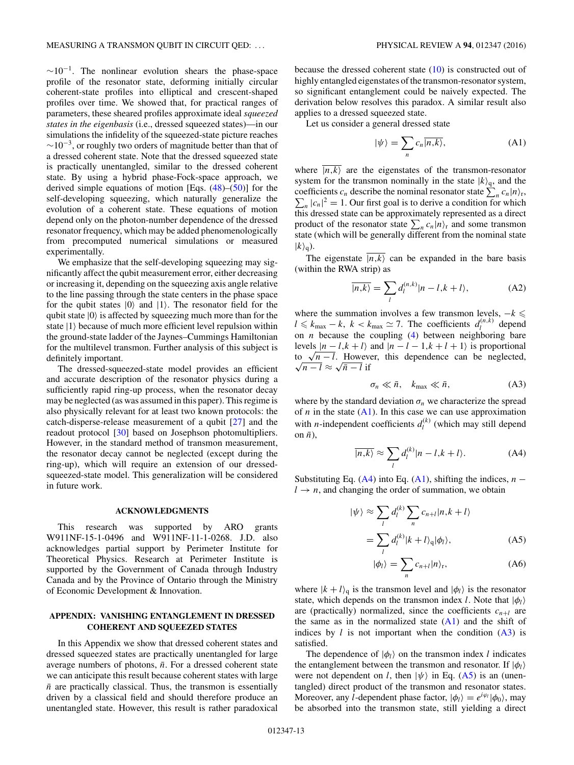<span id="page-12-0"></span> $\sim 10^{-1}$ . The nonlinear evolution shears the phase-space profile of the resonator state, deforming initially circular coherent-state profiles into elliptical and crescent-shaped profiles over time. We showed that, for practical ranges of parameters, these sheared profiles approximate ideal *squeezed states in the eigenbasis* (i.e., dressed squeezed states)—in our simulations the infidelity of the squeezed-state picture reaches  $\sim$ 10<sup>-3</sup>, or roughly two orders of magnitude better than that of a dressed coherent state. Note that the dressed squeezed state is practically unentangled, similar to the dressed coherent state. By using a hybrid phase-Fock-space approach, we derived simple equations of motion [Eqs. [\(48\)](#page-10-0)–[\(50\)](#page-10-0)] for the self-developing squeezing, which naturally generalize the evolution of a coherent state. These equations of motion depend only on the photon-number dependence of the dressed resonator frequency, which may be added phenomenologically from precomputed numerical simulations or measured experimentally.

We emphasize that the self-developing squeezing may significantly affect the qubit measurement error, either decreasing or increasing it, depending on the squeezing axis angle relative to the line passing through the state centers in the phase space for the qubit states  $|0\rangle$  and  $|1\rangle$ . The resonator field for the qubit state  $|0\rangle$  is affected by squeezing much more than for the state  $|1\rangle$  because of much more efficient level repulsion within the ground-state ladder of the Jaynes–Cummings Hamiltonian for the multilevel transmon. Further analysis of this subject is definitely important.

The dressed-squeezed-state model provides an efficient and accurate description of the resonator physics during a sufficiently rapid ring-up process, when the resonator decay may be neglected (as was assumed in this paper). This regime is also physically relevant for at least two known protocols: the catch-disperse-release measurement of a qubit [\[27\]](#page-15-0) and the readout protocol [\[30\]](#page-15-0) based on Josephson photomultipliers. However, in the standard method of transmon measurement, the resonator decay cannot be neglected (except during the ring-up), which will require an extension of our dressedsqueezed-state model. This generalization will be considered in future work.

## **ACKNOWLEDGMENTS**

This research was supported by ARO grants W911NF-15-1-0496 and W911NF-11-1-0268. J.D. also acknowledges partial support by Perimeter Institute for Theoretical Physics. Research at Perimeter Institute is supported by the Government of Canada through Industry Canada and by the Province of Ontario through the Ministry of Economic Development & Innovation.

## **APPENDIX: VANISHING ENTANGLEMENT IN DRESSED COHERENT AND SQUEEZED STATES**

In this Appendix we show that dressed coherent states and dressed squeezed states are practically unentangled for large average numbers of photons,  $\bar{n}$ . For a dressed coherent state we can anticipate this result because coherent states with large  $\bar{n}$  are practically classical. Thus, the transmon is essentially driven by a classical field and should therefore produce an unentangled state. However, this result is rather paradoxical because the dressed coherent state  $(10)$  is constructed out of highly entangled eigenstates of the transmon-resonator system, so significant entanglement could be naively expected. The derivation below resolves this paradox. A similar result also applies to a dressed squeezed state.

Let us consider a general dressed state

$$
|\psi\rangle = \sum_{n} c_{n} \overline{|n,k\rangle},
$$
 (A1)

where  $\overline{|n,k\rangle}$  are the eigenstates of the transmon-resonator system for the transmon nominally in the state  $|k\rangle_{q}$ , and the coefficients  $c_n$  describe the nominal resonator state  $\sum_n c_n |n\rangle$ coefficients  $c_n$  describe the nominal resonator state  $\sum_n c_n |n\rangle_r$ ,<br> $\sum_n |c_n|^2 = 1$ . Our first goal is to derive a condition for which this dressed state can be approximately represented as a direct product of the resonator state  $\sum_{n} c_n |n\rangle_r$  and some transmon state (which will be generally different from the nominal state  $|k\rangle_{q}$ ).

The eigenstate  $\overline{|n,k\rangle}$  can be expanded in the bare basis (within the RWA strip) as

$$
\overline{|n,k\rangle} = \sum_{l} d_l^{(n,k)} |n-l,k+l\rangle, \tag{A2}
$$

where the summation involves a few transmon levels,  $-k \leq$  $l \leq k_{\text{max}} - k$ ,  $k < k_{\text{max}} \simeq 7$ . The coefficients  $d_l^{(n,k)}$  depend on *n* because the coupling [\(4\)](#page-2-0) between neighboring bare levels  $|n - l, k + l\rangle$  and  $|n - l - 1, k + l + 1\rangle$  is proportional tevels  $|n - l, k + l\rangle$  and  $|n - l - 1, k + l + 1\rangle$  is proportional<br>to  $\sqrt{n - l}$ . However, this dependence can be neglected,  $\sqrt{n-l} \approx \sqrt{\bar{n}-l}$  if

$$
\sigma_n \ll \bar{n}, \quad k_{\text{max}} \ll \bar{n}, \tag{A3}
$$

where by the standard deviation  $\sigma_n$  we characterize the spread of  $n$  in the state  $(A1)$ . In this case we can use approximation with *n*-independent coefficients  $d_l^{(k)}$  (which may still depend on  $\bar{n}$ ),

$$
\overline{|n,k\rangle} \approx \sum_{l} d_{l}^{(k)} |n-l,k+l\rangle. \tag{A4}
$$

Substituting Eq.  $(A4)$  into Eq.  $(A1)$ , shifting the indices, *n* −  $l \rightarrow n$ , and changing the order of summation, we obtain

$$
|\psi\rangle \approx \sum_{l} d_{l}^{(k)} \sum_{n} c_{n+l} |n, k+l\rangle
$$

$$
= \sum_{l} d_{l}^{(k)} |k+l\rangle_{q} |\phi_{l}\rangle, \tag{A5}
$$

$$
|\phi_l\rangle = \sum_n c_{n+l} |n\rangle_r,\tag{A6}
$$

where  $|k + l\rangle_q$  is the transmon level and  $|\phi_l\rangle$  is the resonator state, which depends on the transmon index *l*. Note that  $|\phi_l\rangle$ are (practically) normalized, since the coefficients  $c_{n+1}$  are the same as in the normalized state  $(A1)$  and the shift of indices by  $l$  is not important when the condition  $(A3)$  is satisfied.

The dependence of  $|\phi_l\rangle$  on the transmon index *l* indicates the entanglement between the transmon and resonator. If  $|\phi_l\rangle$ were not dependent on *l*, then  $|\psi\rangle$  in Eq. (A5) is an (unentangled) direct product of the transmon and resonator states. Moreover, any *l*-dependent phase factor,  $|\phi_l\rangle = e^{i\varphi_l}|\phi_0\rangle$ , may be absorbed into the transmon state, still yielding a direct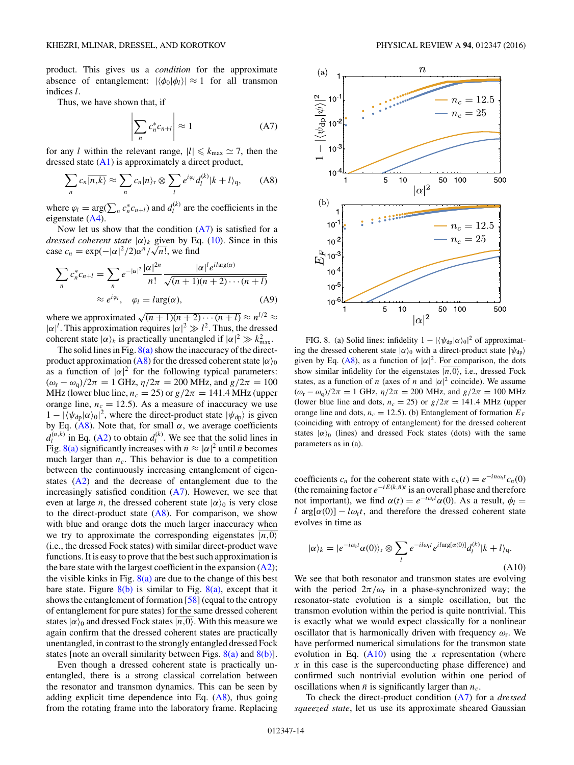<span id="page-13-0"></span>product. This gives us a *condition* for the approximate absence of entanglement:  $|\langle \phi_0 | \phi_1 \rangle| \approx 1$  for all transmon indices *l*.

Thus, we have shown that, if

$$
\left| \sum_{n} c_{n}^{*} c_{n+l} \right| \approx 1 \tag{A7}
$$

for any *l* within the relevant range,  $|l| \le k_{\text{max}} \approx 7$ , then the dressed state [\(A1\)](#page-12-0) is approximately a direct product,

$$
\sum_{n} c_{n} \overline{|n,k\rangle} \approx \sum_{n} c_{n} |n\rangle_{r} \otimes \sum_{l} e^{i\varphi_{l}} d_{l}^{(k)} |k+l\rangle_{q}, \qquad (A8)
$$

where  $\varphi_l = \arg(\sum_n c_n^* c_{n+l})$  and  $d_l^{(k)}$  are the coefficients in the eigenstate [\(A4\)](#page-12-0).

Now let us show that the condition  $(A7)$  is satisfied for a *dressed coherent state*  $|\alpha\rangle_k$  given by Eq. [\(10\)](#page-3-0). Since in this *case c<sub>n</sub>* = exp( $-|\alpha|^2/2$ ) $\alpha^n/\sqrt{n!}$ , we find

$$
\sum_{n} c_{n}^{*} c_{n+l} = \sum_{n} e^{-|\alpha|^{2}} \frac{|\alpha|^{2n}}{n!} \frac{|\alpha|^{l} e^{i \arg(\alpha)}}{\sqrt{(n+1)(n+2)\cdots(n+l)}}
$$

$$
\approx e^{i\varphi_{l}}, \quad \varphi_{l} = l \arg(\alpha), \tag{A9}
$$

where we approximated  $\sqrt{(n+1)(n+2)\cdots(n+l)} \approx n^{l/2} \approx$  $|\alpha|^l$ . This approximation requires  $|\alpha|^2 \gg l^2$ . Thus, the dressed coherent state  $|\alpha\rangle_k$  is practically unentangled if  $|\alpha|^2 \gg k_{\text{max}}^2$ .

The solid lines in Fig.  $8(a)$  show the inaccuracy of the directproduct approximation (A8) for the dressed coherent state  $|\alpha\rangle_0$ as a function of  $|\alpha|^2$  for the following typical parameters:  $(\omega_{\rm r} - \omega_{\rm q})/2\pi = 1$  GHz,  $\eta/2\pi = 200$  MHz, and  $g/2\pi = 100$ MHz (lower blue line,  $n_c = 25$ ) or  $g/2\pi = 141.4$  MHz (upper orange line,  $n_c = 12.5$ ). As a measure of inaccuracy we use  $1 - |\langle \psi_{dp} | \alpha \rangle_0|^2$ , where the direct-product state  $|\psi_{dp}\rangle$  is given by Eq. (A8). Note that, for small  $\alpha$ , we average coefficients  $d_l^{(n,k)}$  in Eq. [\(A2\)](#page-12-0) to obtain  $d_l^{(k)}$ . We see that the solid lines in Fig. 8(a) significantly increases with  $\bar{n} \approx |\alpha|^2$  until  $\bar{n}$  becomes much larger than  $n_c$ . This behavior is due to a competition between the continuously increasing entanglement of eigenstates [\(A2\)](#page-12-0) and the decrease of entanglement due to the increasingly satisfied condition  $(A7)$ . However, we see that even at large  $\bar{n}$ , the dressed coherent state  $|\alpha\rangle_0$  is very close to the direct-product state  $(A8)$ . For comparison, we show with blue and orange dots the much larger inaccuracy when we try to approximate the corresponding eigenstates  $\overline{|n,0\rangle}$ (i.e., the dressed Fock states) with similar direct-product wave functions. It is easy to prove that the best such approximation is the bare state with the largest coefficient in the expansion  $(A2)$ ; the visible kinks in Fig.  $8(a)$  are due to the change of this best bare state. Figure  $8(b)$  is similar to Fig.  $8(a)$ , except that it shows the entanglement of formation [\[58\]](#page-16-0) (equal to the entropy of entanglement for pure states) for the same dressed coherent states  $|\alpha\rangle_0$  and dressed Fock states  $\overline{|n,0\rangle}$ . With this measure we again confirm that the dressed coherent states are practically unentangled, in contrast to the strongly entangled dressed Fock states [note an overall similarity between Figs.  $8(a)$  and  $8(b)$ ].

Even though a dressed coherent state is practically unentangled, there is a strong classical correlation between the resonator and transmon dynamics. This can be seen by adding explicit time dependence into Eq. (A8), thus going from the rotating frame into the laboratory frame. Replacing



FIG. 8. (a) Solid lines: infidelity  $1 - |\langle \psi_{dp} | \alpha \rangle_0|^2$  of approximating the dressed coherent state  $|\alpha\rangle_0$  with a direct-product state  $|\psi_{dp}\rangle$ given by Eq. (A8), as a function of  $|\alpha|^2$ . For comparison, the dots show similar infidelity for the eigenstates  $|n,0\rangle$ , i.e., dressed Fock states, as a function of *n* (axes of *n* and  $|\alpha|^2$  coincide). We assume  $(\omega_r - \omega_q)/2\pi = 1$  GHz,  $\eta/2\pi = 200$  MHz, and  $g/2\pi = 100$  MHz (lower blue line and dots,  $n_c = 25$ ) or  $g/2\pi = 141.4$  MHz (upper orange line and dots,  $n_c = 12.5$ ). (b) Entanglement of formation  $E_F$ (coinciding with entropy of entanglement) for the dressed coherent states  $|\alpha\rangle_0$  (lines) and dressed Fock states (dots) with the same parameters as in (a).

coefficients  $c_n$  for the coherent state with  $c_n(t) = e^{-in\omega_0 t} c_n(0)$ (the remaining factor  $e^{-iE(k,\bar{n})t}$  is an overall phase and therefore not important), we find  $\alpha(t) = e^{-i\omega_t t} \alpha(0)$ . As a result,  $\phi_l =$ *l* arg[ $\alpha$ (0)] − *lω*<sup>t</sup>, and therefore the dressed coherent state evolves in time as

$$
|\alpha\rangle_{k} = |e^{-i\omega_{r}t}\alpha(0)\rangle_{r} \otimes \sum_{l} e^{-il\omega_{r}t} e^{il\arg[\alpha(0)]} d_{l}^{(k)}|k+l\rangle_{q}.
$$
\n(A10)

We see that both resonator and transmon states are evolving with the period  $2\pi/\omega_r$  in a phase-synchronized way; the resonator-state evolution is a simple oscillation, but the transmon evolution within the period is quite nontrivial. This is exactly what we would expect classically for a nonlinear oscillator that is harmonically driven with frequency *ω*r. We have performed numerical simulations for the transmon state evolution in Eq.  $(A10)$  using the *x* representation (where *x* in this case is the superconducting phase difference) and confirmed such nontrivial evolution within one period of oscillations when  $\bar{n}$  is significantly larger than  $n_c$ .

To check the direct-product condition (A7) for a *dressed squeezed state*, let us use its approximate sheared Gaussian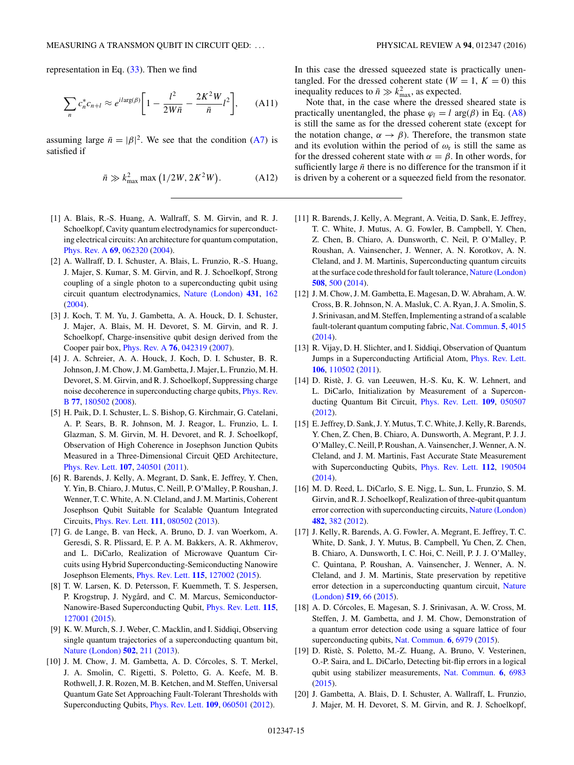<span id="page-14-0"></span>representation in Eq.  $(33)$ . Then we find

$$
\sum_{n} c_{n}^{*} c_{n+l} \approx e^{il \arg(\beta)} \bigg[ 1 - \frac{l^{2}}{2W\bar{n}} - \frac{2K^{2}W}{\bar{n}}l^{2} \bigg], \qquad (A11)
$$

assuming large  $\bar{n} = |\beta|^2$ . We see that the condition [\(A7\)](#page-13-0) is satisfied if

$$
\bar{n} \gg k_{\text{max}}^2 \max\left(1/2W, 2K^2W\right). \tag{A12}
$$

- [1] A. Blais, R.-S. Huang, A. Wallraff, S. M. Girvin, and R. J. Schoelkopf, Cavity quantum electrodynamics for superconducting electrical circuits: An architecture for quantum computation, [Phys. Rev. A](http://dx.doi.org/10.1103/PhysRevA.69.062320) **[69](http://dx.doi.org/10.1103/PhysRevA.69.062320)**, [062320](http://dx.doi.org/10.1103/PhysRevA.69.062320) [\(2004\)](http://dx.doi.org/10.1103/PhysRevA.69.062320).
- [2] A. Wallraff, D. I. Schuster, A. Blais, L. Frunzio, R.-S. Huang, J. Majer, S. Kumar, S. M. Girvin, and R. J. Schoelkopf, Strong coupling of a single photon to a superconducting qubit using circuit quantum electrodynamics, [Nature \(London\)](http://dx.doi.org/10.1038/nature02851) **[431](http://dx.doi.org/10.1038/nature02851)**, [162](http://dx.doi.org/10.1038/nature02851) [\(2004\)](http://dx.doi.org/10.1038/nature02851).
- [3] J. Koch, T. M. Yu, J. Gambetta, A. A. Houck, D. I. Schuster, J. Majer, A. Blais, M. H. Devoret, S. M. Girvin, and R. J. Schoelkopf, Charge-insensitive qubit design derived from the Cooper pair box, [Phys. Rev. A](http://dx.doi.org/10.1103/PhysRevA.76.042319) **[76](http://dx.doi.org/10.1103/PhysRevA.76.042319)**, [042319](http://dx.doi.org/10.1103/PhysRevA.76.042319) [\(2007\)](http://dx.doi.org/10.1103/PhysRevA.76.042319).
- [4] J. A. Schreier, A. A. Houck, J. Koch, D. I. Schuster, B. R. Johnson, J. M. Chow, J. M. Gambetta, J. Majer, L. Frunzio, M. H. Devoret, S. M. Girvin, and R. J. Schoelkopf, Suppressing charge [noise decoherence in superconducting charge qubits,](http://dx.doi.org/10.1103/PhysRevB.77.180502) Phys. Rev. B **[77](http://dx.doi.org/10.1103/PhysRevB.77.180502)**, [180502](http://dx.doi.org/10.1103/PhysRevB.77.180502) [\(2008\)](http://dx.doi.org/10.1103/PhysRevB.77.180502).
- [5] H. Paik, D. I. Schuster, L. S. Bishop, G. Kirchmair, G. Catelani, A. P. Sears, B. R. Johnson, M. J. Reagor, L. Frunzio, L. I. Glazman, S. M. Girvin, M. H. Devoret, and R. J. Schoelkopf, Observation of High Coherence in Josephson Junction Qubits Measured in a Three-Dimensional Circuit QED Architecture, [Phys. Rev. Lett.](http://dx.doi.org/10.1103/PhysRevLett.107.240501) **[107](http://dx.doi.org/10.1103/PhysRevLett.107.240501)**, [240501](http://dx.doi.org/10.1103/PhysRevLett.107.240501) [\(2011\)](http://dx.doi.org/10.1103/PhysRevLett.107.240501).
- [6] R. Barends, J. Kelly, A. Megrant, D. Sank, E. Jeffrey, Y. Chen, Y. Yin, B. Chiaro, J. Mutus, C. Neill, P. O'Malley, P. Roushan, J. Wenner, T. C. White, A. N. Cleland, and J. M. Martinis, Coherent Josephson Qubit Suitable for Scalable Quantum Integrated Circuits, [Phys. Rev. Lett.](http://dx.doi.org/10.1103/PhysRevLett.111.080502) **[111](http://dx.doi.org/10.1103/PhysRevLett.111.080502)**, [080502](http://dx.doi.org/10.1103/PhysRevLett.111.080502) [\(2013\)](http://dx.doi.org/10.1103/PhysRevLett.111.080502).
- [7] G. de Lange, B. van Heck, A. Bruno, D. J. van Woerkom, A. Geresdi, S. R. Plissard, E. P. A. M. Bakkers, A. R. Akhmerov, and L. DiCarlo, Realization of Microwave Quantum Circuits using Hybrid Superconducting-Semiconducting Nanowire Josephson Elements, [Phys. Rev. Lett.](http://dx.doi.org/10.1103/PhysRevLett.115.127002) **[115](http://dx.doi.org/10.1103/PhysRevLett.115.127002)**, [127002](http://dx.doi.org/10.1103/PhysRevLett.115.127002) [\(2015\)](http://dx.doi.org/10.1103/PhysRevLett.115.127002).
- [8] T. W. Larsen, K. D. Petersson, F. Kuemmeth, T. S. Jespersen, P. Krogstrup, J. Nygård, and C. M. Marcus, Semiconductor-Nanowire-Based Superconducting Qubit, [Phys. Rev. Lett.](http://dx.doi.org/10.1103/PhysRevLett.115.127001) **[115](http://dx.doi.org/10.1103/PhysRevLett.115.127001)**, [127001](http://dx.doi.org/10.1103/PhysRevLett.115.127001) [\(2015\)](http://dx.doi.org/10.1103/PhysRevLett.115.127001).
- [9] K. W. Murch, S. J. Weber, C. Macklin, and I. Siddiqi, Observing single quantum trajectories of a superconducting quantum bit, [Nature \(London\)](http://dx.doi.org/10.1038/nature12539) **[502](http://dx.doi.org/10.1038/nature12539)**, [211](http://dx.doi.org/10.1038/nature12539) [\(2013\)](http://dx.doi.org/10.1038/nature12539).
- [10] J. M. Chow, J. M. Gambetta, A. D. Córcoles, S. T. Merkel, J. A. Smolin, C. Rigetti, S. Poletto, G. A. Keefe, M. B. Rothwell, J. R. Rozen, M. B. Ketchen, and M. Steffen, Universal Quantum Gate Set Approaching Fault-Tolerant Thresholds with Superconducting Qubits, [Phys. Rev. Lett.](http://dx.doi.org/10.1103/PhysRevLett.109.060501) **[109](http://dx.doi.org/10.1103/PhysRevLett.109.060501)**, [060501](http://dx.doi.org/10.1103/PhysRevLett.109.060501) [\(2012\)](http://dx.doi.org/10.1103/PhysRevLett.109.060501).

In this case the dressed squeezed state is practically unentangled. For the dressed coherent state ( $W = 1$ ,  $K = 0$ ) this inequality reduces to  $\bar{n} \gg k_{\text{max}}^2$ , as expected.

Note that, in the case where the dressed sheared state is practically unentangled, the phase  $\varphi_l = l \arg(\beta)$  in Eq. [\(A8\)](#page-13-0) is still the same as for the dressed coherent state (except for the notation change,  $\alpha \rightarrow \beta$ ). Therefore, the transmon state and its evolution within the period of  $\omega_r$  is still the same as for the dressed coherent state with  $\alpha = \beta$ . In other words, for sufficiently large  $\bar{n}$  there is no difference for the transmon if it is driven by a coherent or a squeezed field from the resonator.

- [11] R. Barends, J. Kelly, A. Megrant, A. Veitia, D. Sank, E. Jeffrey, T. C. White, J. Mutus, A. G. Fowler, B. Campbell, Y. Chen, Z. Chen, B. Chiaro, A. Dunsworth, C. Neil, P. O'Malley, P. Roushan, A. Vainsencher, J. Wenner, A. N. Korotkov, A. N. Cleland, and J. M. Martinis, Superconducting quantum circuits at the surface code threshold for fault tolerance, [Nature \(London\)](http://dx.doi.org/10.1038/nature13171) **[508](http://dx.doi.org/10.1038/nature13171)**, [500](http://dx.doi.org/10.1038/nature13171) [\(2014\)](http://dx.doi.org/10.1038/nature13171).
- [12] J. M. Chow, J. M. Gambetta, E. Magesan, D. W. Abraham, A. W. Cross, B. R. Johnson, N. A. Masluk, C. A. Ryan, J. A. Smolin, S. J. Srinivasan, and M. Steffen, Implementing a strand of a scalable fault-tolerant quantum computing fabric, [Nat. Commun.](http://dx.doi.org/10.1038/ncomms5015) **[5](http://dx.doi.org/10.1038/ncomms5015)**, [4015](http://dx.doi.org/10.1038/ncomms5015) [\(2014\)](http://dx.doi.org/10.1038/ncomms5015).
- [13] R. Vijay, D. H. Slichter, and I. Siddiqi, Observation of Quantum Jumps in a Superconducting Artificial Atom, [Phys. Rev. Lett.](http://dx.doi.org/10.1103/PhysRevLett.106.110502) **[106](http://dx.doi.org/10.1103/PhysRevLett.106.110502)**, [110502](http://dx.doi.org/10.1103/PhysRevLett.106.110502) [\(2011\)](http://dx.doi.org/10.1103/PhysRevLett.106.110502).
- [14] D. Ristè, J. G. van Leeuwen, H.-S. Ku, K. W. Lehnert, and L. DiCarlo, Initialization by Measurement of a Superconducting Quantum Bit Circuit, [Phys. Rev. Lett.](http://dx.doi.org/10.1103/PhysRevLett.109.050507) **[109](http://dx.doi.org/10.1103/PhysRevLett.109.050507)**, [050507](http://dx.doi.org/10.1103/PhysRevLett.109.050507) [\(2012\)](http://dx.doi.org/10.1103/PhysRevLett.109.050507).
- [15] E. Jeffrey, D. Sank, J. Y. Mutus, T. C. White, J. Kelly, R. Barends, Y. Chen, Z. Chen, B. Chiaro, A. Dunsworth, A. Megrant, P. J. J. O'Malley, C. Neill, P. Roushan, A. Vainsencher, J. Wenner, A. N. Cleland, and J. M. Martinis, Fast Accurate State Measurement with Superconducting Qubits, [Phys. Rev. Lett.](http://dx.doi.org/10.1103/PhysRevLett.112.190504) **[112](http://dx.doi.org/10.1103/PhysRevLett.112.190504)**, [190504](http://dx.doi.org/10.1103/PhysRevLett.112.190504) [\(2014\)](http://dx.doi.org/10.1103/PhysRevLett.112.190504).
- [16] M. D. Reed, L. DiCarlo, S. E. Nigg, L. Sun, L. Frunzio, S. M. Girvin, and R. J. Schoelkopf, Realization of three-qubit quantum error correction with superconducting circuits, [Nature \(London\)](http://dx.doi.org/10.1038/nature10786) **[482](http://dx.doi.org/10.1038/nature10786)**, [382](http://dx.doi.org/10.1038/nature10786) [\(2012\)](http://dx.doi.org/10.1038/nature10786).
- [17] J. Kelly, R. Barends, A. G. Fowler, A. Megrant, E. Jeffrey, T. C. White, D. Sank, J. Y. Mutus, B. Campbell, Yu Chen, Z. Chen, B. Chiaro, A. Dunsworth, I. C. Hoi, C. Neill, P. J. J. O'Malley, C. Quintana, P. Roushan, A. Vainsencher, J. Wenner, A. N. Cleland, and J. M. Martinis, State preservation by repetitive [error detection in a superconducting quantum circuit,](http://dx.doi.org/10.1038/nature14270) Nature (London) **[519](http://dx.doi.org/10.1038/nature14270)**, [66](http://dx.doi.org/10.1038/nature14270) [\(2015\)](http://dx.doi.org/10.1038/nature14270).
- [18] A. D. Córcoles, E. Magesan, S. J. Srinivasan, A. W. Cross, M. Steffen, J. M. Gambetta, and J. M. Chow, Demonstration of a quantum error detection code using a square lattice of four superconducting qubits, [Nat. Commun.](http://dx.doi.org/10.1038/ncomms7979) **[6](http://dx.doi.org/10.1038/ncomms7979)**, [6979](http://dx.doi.org/10.1038/ncomms7979) [\(2015\)](http://dx.doi.org/10.1038/ncomms7979).
- [19] D. Ristè, S. Poletto, M.-Z. Huang, A. Bruno, V. Vesterinen, O.-P. Saira, and L. DiCarlo, Detecting bit-flip errors in a logical qubit using stabilizer measurements, [Nat. Commun.](http://dx.doi.org/10.1038/ncomms7983) **[6](http://dx.doi.org/10.1038/ncomms7983)**, [6983](http://dx.doi.org/10.1038/ncomms7983) [\(2015\)](http://dx.doi.org/10.1038/ncomms7983).
- [20] J. Gambetta, A. Blais, D. I. Schuster, A. Wallraff, L. Frunzio, J. Majer, M. H. Devoret, S. M. Girvin, and R. J. Schoelkopf,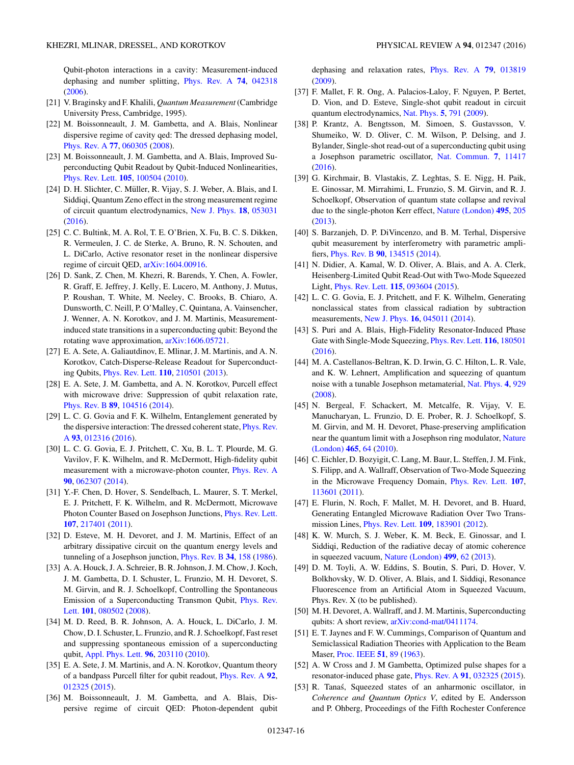<span id="page-15-0"></span>Qubit-photon interactions in a cavity: Measurement-induced dephasing and number splitting, [Phys. Rev. A](http://dx.doi.org/10.1103/PhysRevA.74.042318) **[74](http://dx.doi.org/10.1103/PhysRevA.74.042318)**, [042318](http://dx.doi.org/10.1103/PhysRevA.74.042318) [\(2006\)](http://dx.doi.org/10.1103/PhysRevA.74.042318).

- [21] V. Braginsky and F. Khalili, *Quantum Measurement* (Cambridge University Press, Cambridge, 1995).
- [22] M. Boissonneault, J. M. Gambetta, and A. Blais, Nonlinear dispersive regime of cavity qed: The dressed dephasing model, [Phys. Rev. A](http://dx.doi.org/10.1103/PhysRevA.77.060305) **[77](http://dx.doi.org/10.1103/PhysRevA.77.060305)**, [060305](http://dx.doi.org/10.1103/PhysRevA.77.060305) [\(2008\)](http://dx.doi.org/10.1103/PhysRevA.77.060305).
- [23] M. Boissonneault, J. M. Gambetta, and A. Blais, Improved Superconducting Qubit Readout by Qubit-Induced Nonlinearities, [Phys. Rev. Lett.](http://dx.doi.org/10.1103/PhysRevLett.105.100504) **[105](http://dx.doi.org/10.1103/PhysRevLett.105.100504)**, [100504](http://dx.doi.org/10.1103/PhysRevLett.105.100504) [\(2010\)](http://dx.doi.org/10.1103/PhysRevLett.105.100504).
- [24] D. H. Slichter, C. Müller, R. Vijay, S. J. Weber, A. Blais, and I. Siddiqi, Quantum Zeno effect in the strong measurement regime of circuit quantum electrodynamics, [New J. Phys.](http://dx.doi.org/10.1088/1367-2630/18/5/053031) **[18](http://dx.doi.org/10.1088/1367-2630/18/5/053031)**, [053031](http://dx.doi.org/10.1088/1367-2630/18/5/053031) [\(2016\)](http://dx.doi.org/10.1088/1367-2630/18/5/053031).
- [25] C. C. Bultink, M. A. Rol, T. E. O'Brien, X. Fu, B. C. S. Dikken, R. Vermeulen, J. C. de Sterke, A. Bruno, R. N. Schouten, and L. DiCarlo, Active resonator reset in the nonlinear dispersive regime of circuit QED, [arXiv:1604.00916.](http://arxiv.org/abs/arXiv:1604.00916)
- [26] D. Sank, Z. Chen, M. Khezri, R. Barends, Y. Chen, A. Fowler, R. Graff, E. Jeffrey, J. Kelly, E. Lucero, M. Anthony, J. Mutus, P. Roushan, T. White, M. Neeley, C. Brooks, B. Chiaro, A. Dunsworth, C. Neill, P. O'Malley, C. Quintana, A. Vainsencher, J. Wenner, A. N. Korotkov, and J. M. Martinis, Measurementinduced state transitions in a superconducting qubit: Beyond the rotating wave approximation, [arXiv:1606.05721.](http://arxiv.org/abs/arXiv:1606.05721)
- [27] E. A. Sete, A. Galiautdinov, E. Mlinar, J. M. Martinis, and A. N. Korotkov, Catch-Disperse-Release Readout for Superconducting Qubits, [Phys. Rev. Lett.](http://dx.doi.org/10.1103/PhysRevLett.110.210501) **[110](http://dx.doi.org/10.1103/PhysRevLett.110.210501)**, [210501](http://dx.doi.org/10.1103/PhysRevLett.110.210501) [\(2013\)](http://dx.doi.org/10.1103/PhysRevLett.110.210501).
- [28] E. A. Sete, J. M. Gambetta, and A. N. Korotkov, Purcell effect with microwave drive: Suppression of qubit relaxation rate, [Phys. Rev. B](http://dx.doi.org/10.1103/PhysRevB.89.104516) **[89](http://dx.doi.org/10.1103/PhysRevB.89.104516)**, [104516](http://dx.doi.org/10.1103/PhysRevB.89.104516) [\(2014\)](http://dx.doi.org/10.1103/PhysRevB.89.104516).
- [29] L. C. G. Govia and F. K. Wilhelm, Entanglement generated by [the dispersive interaction: The dressed coherent state,](http://dx.doi.org/10.1103/PhysRevA.93.012316) Phys. Rev. A **[93](http://dx.doi.org/10.1103/PhysRevA.93.012316)**, [012316](http://dx.doi.org/10.1103/PhysRevA.93.012316) [\(2016\)](http://dx.doi.org/10.1103/PhysRevA.93.012316).
- [30] L. C. G. Govia, E. J. Pritchett, C. Xu, B. L. T. Plourde, M. G. Vavilov, F. K. Wilhelm, and R. McDermott, High-fidelity qubit measurement with a microwave-photon counter, [Phys. Rev. A](http://dx.doi.org/10.1103/PhysRevA.90.062307) **[90](http://dx.doi.org/10.1103/PhysRevA.90.062307)**, [062307](http://dx.doi.org/10.1103/PhysRevA.90.062307) [\(2014\)](http://dx.doi.org/10.1103/PhysRevA.90.062307).
- [31] Y.-F. Chen, D. Hover, S. Sendelbach, L. Maurer, S. T. Merkel, E. J. Pritchett, F. K. Wilhelm, and R. McDermott, Microwave Photon Counter Based on Josephson Junctions, [Phys. Rev. Lett.](http://dx.doi.org/10.1103/PhysRevLett.107.217401) **[107](http://dx.doi.org/10.1103/PhysRevLett.107.217401)**, [217401](http://dx.doi.org/10.1103/PhysRevLett.107.217401) [\(2011\)](http://dx.doi.org/10.1103/PhysRevLett.107.217401).
- [32] D. Esteve, M. H. Devoret, and J. M. Martinis, Effect of an arbitrary dissipative circuit on the quantum energy levels and tunneling of a Josephson junction, [Phys. Rev. B](http://dx.doi.org/10.1103/PhysRevB.34.158) **[34](http://dx.doi.org/10.1103/PhysRevB.34.158)**, [158](http://dx.doi.org/10.1103/PhysRevB.34.158) [\(1986\)](http://dx.doi.org/10.1103/PhysRevB.34.158).
- [33] A. A. Houck, J. A. Schreier, B. R. Johnson, J. M. Chow, J. Koch, J. M. Gambetta, D. I. Schuster, L. Frunzio, M. H. Devoret, S. M. Girvin, and R. J. Schoelkopf, Controlling the Spontaneous [Emission of a Superconducting Transmon Qubit,](http://dx.doi.org/10.1103/PhysRevLett.101.080502) Phys. Rev. Lett. **[101](http://dx.doi.org/10.1103/PhysRevLett.101.080502)**, [080502](http://dx.doi.org/10.1103/PhysRevLett.101.080502) [\(2008\)](http://dx.doi.org/10.1103/PhysRevLett.101.080502).
- [34] M. D. Reed, B. R. Johnson, A. A. Houck, L. DiCarlo, J. M. Chow, D. I. Schuster, L. Frunzio, and R. J. Schoelkopf, Fast reset and suppressing spontaneous emission of a superconducting qubit, [Appl. Phys. Lett.](http://dx.doi.org/10.1063/1.3435463) **[96](http://dx.doi.org/10.1063/1.3435463)**, [203110](http://dx.doi.org/10.1063/1.3435463) [\(2010\)](http://dx.doi.org/10.1063/1.3435463).
- [35] E. A. Sete, J. M. Martinis, and A. N. Korotkov, Quantum theory of a bandpass Purcell filter for qubit readout, [Phys. Rev. A](http://dx.doi.org/10.1103/PhysRevA.92.012325) **[92](http://dx.doi.org/10.1103/PhysRevA.92.012325)**, [012325](http://dx.doi.org/10.1103/PhysRevA.92.012325) [\(2015\)](http://dx.doi.org/10.1103/PhysRevA.92.012325).
- [36] M. Boissonneault, J. M. Gambetta, and A. Blais, Dispersive regime of circuit QED: Photon-dependent qubit

dephasing and relaxation rates, [Phys. Rev. A](http://dx.doi.org/10.1103/PhysRevA.79.013819) **[79](http://dx.doi.org/10.1103/PhysRevA.79.013819)**, [013819](http://dx.doi.org/10.1103/PhysRevA.79.013819) [\(2009\)](http://dx.doi.org/10.1103/PhysRevA.79.013819).

- [37] F. Mallet, F. R. Ong, A. Palacios-Laloy, F. Nguyen, P. Bertet, D. Vion, and D. Esteve, Single-shot qubit readout in circuit quantum electrodynamics, [Nat. Phys.](http://dx.doi.org/10.1038/nphys1400) **[5](http://dx.doi.org/10.1038/nphys1400)**, [791](http://dx.doi.org/10.1038/nphys1400) [\(2009\)](http://dx.doi.org/10.1038/nphys1400).
- [38] P. Krantz, A. Bengtsson, M. Simoen, S. Gustavsson, V. Shumeiko, W. D. Oliver, C. M. Wilson, P. Delsing, and J. Bylander, Single-shot read-out of a superconducting qubit using a Josephson parametric oscillator, [Nat. Commun.](http://dx.doi.org/10.1038/ncomms11417) **[7](http://dx.doi.org/10.1038/ncomms11417)**, [11417](http://dx.doi.org/10.1038/ncomms11417) [\(2016\)](http://dx.doi.org/10.1038/ncomms11417).
- [39] G. Kirchmair, B. Vlastakis, Z. Leghtas, S. E. Nigg, H. Paik, E. Ginossar, M. Mirrahimi, L. Frunzio, S. M. Girvin, and R. J. Schoelkopf, Observation of quantum state collapse and revival due to the single-photon Kerr effect, [Nature \(London\)](http://dx.doi.org/10.1038/nature11902) **[495](http://dx.doi.org/10.1038/nature11902)**, [205](http://dx.doi.org/10.1038/nature11902) [\(2013\)](http://dx.doi.org/10.1038/nature11902).
- [40] S. Barzanjeh, D. P. DiVincenzo, and B. M. Terhal, Dispersive qubit measurement by interferometry with parametric amplifiers, [Phys. Rev. B](http://dx.doi.org/10.1103/PhysRevB.90.134515) **[90](http://dx.doi.org/10.1103/PhysRevB.90.134515)**, [134515](http://dx.doi.org/10.1103/PhysRevB.90.134515) [\(2014\)](http://dx.doi.org/10.1103/PhysRevB.90.134515).
- [41] N. Didier, A. Kamal, W. D. Oliver, A. Blais, and A. A. Clerk, Heisenberg-Limited Qubit Read-Out with Two-Mode Squeezed Light, [Phys. Rev. Lett.](http://dx.doi.org/10.1103/PhysRevLett.115.093604) **[115](http://dx.doi.org/10.1103/PhysRevLett.115.093604)**, [093604](http://dx.doi.org/10.1103/PhysRevLett.115.093604) [\(2015\)](http://dx.doi.org/10.1103/PhysRevLett.115.093604).
- [42] L. C. G. Govia, E. J. Pritchett, and F. K. Wilhelm, Generating nonclassical states from classical radiation by subtraction measurements, [New J. Phys.](http://dx.doi.org/10.1088/1367-2630/16/4/045011) **[16](http://dx.doi.org/10.1088/1367-2630/16/4/045011)**, [045011](http://dx.doi.org/10.1088/1367-2630/16/4/045011) [\(2014\)](http://dx.doi.org/10.1088/1367-2630/16/4/045011).
- [43] S. Puri and A. Blais, High-Fidelity Resonator-Induced Phase Gate with Single-Mode Squeezing, [Phys. Rev. Lett.](http://dx.doi.org/10.1103/PhysRevLett.116.180501) **[116](http://dx.doi.org/10.1103/PhysRevLett.116.180501)**, [180501](http://dx.doi.org/10.1103/PhysRevLett.116.180501) [\(2016\)](http://dx.doi.org/10.1103/PhysRevLett.116.180501).
- [44] M. A. Castellanos-Beltran, K. D. Irwin, G. C. Hilton, L. R. Vale, and K. W. Lehnert, Amplification and squeezing of quantum noise with a tunable Josephson metamaterial, [Nat. Phys.](http://dx.doi.org/10.1038/nphys1090) **[4](http://dx.doi.org/10.1038/nphys1090)**, [929](http://dx.doi.org/10.1038/nphys1090) [\(2008\)](http://dx.doi.org/10.1038/nphys1090).
- [45] N. Bergeal, F. Schackert, M. Metcalfe, R. Vijay, V. E. Manucharyan, L. Frunzio, D. E. Prober, R. J. Schoelkopf, S. M. Girvin, and M. H. Devoret, Phase-preserving amplification [near the quantum limit with a Josephson ring modulator,](http://dx.doi.org/10.1038/nature09035) Nature (London) **[465](http://dx.doi.org/10.1038/nature09035)**, [64](http://dx.doi.org/10.1038/nature09035) [\(2010\)](http://dx.doi.org/10.1038/nature09035).
- [46] C. Eichler, D. Bozyigit, C. Lang, M. Baur, L. Steffen, J. M. Fink, S. Filipp, and A. Wallraff, Observation of Two-Mode Squeezing in the Microwave Frequency Domain, [Phys. Rev. Lett.](http://dx.doi.org/10.1103/PhysRevLett.107.113601) **[107](http://dx.doi.org/10.1103/PhysRevLett.107.113601)**, [113601](http://dx.doi.org/10.1103/PhysRevLett.107.113601) [\(2011\)](http://dx.doi.org/10.1103/PhysRevLett.107.113601).
- [47] E. Flurin, N. Roch, F. Mallet, M. H. Devoret, and B. Huard, Generating Entangled Microwave Radiation Over Two Transmission Lines, [Phys. Rev. Lett.](http://dx.doi.org/10.1103/PhysRevLett.109.183901) **[109](http://dx.doi.org/10.1103/PhysRevLett.109.183901)**, [183901](http://dx.doi.org/10.1103/PhysRevLett.109.183901) [\(2012\)](http://dx.doi.org/10.1103/PhysRevLett.109.183901).
- [48] K. W. Murch, S. J. Weber, K. M. Beck, E. Ginossar, and I. Siddiqi, Reduction of the radiative decay of atomic coherence in squeezed vacuum, [Nature \(London\)](http://dx.doi.org/10.1038/nature12264) **[499](http://dx.doi.org/10.1038/nature12264)**, [62](http://dx.doi.org/10.1038/nature12264) [\(2013\)](http://dx.doi.org/10.1038/nature12264).
- [49] D. M. Toyli, A. W. Eddins, S. Boutin, S. Puri, D. Hover, V. Bolkhovsky, W. D. Oliver, A. Blais, and I. Siddiqi, Resonance Fluorescence from an Artificial Atom in Squeezed Vacuum, Phys. Rev. X (to be published).
- [50] M. H. Devoret, A. Wallraff, and J. M. Martinis, Superconducting qubits: A short review, [arXiv:cond-mat/0411174.](http://arxiv.org/abs/arXiv:cond-mat/0411174)
- [51] E. T. Jaynes and F. W. Cummings, Comparison of Quantum and Semiclassical Radiation Theories with Application to the Beam Maser, [Proc. IEEE](http://dx.doi.org/10.1109/PROC.1963.1664) **[51](http://dx.doi.org/10.1109/PROC.1963.1664)**, [89](http://dx.doi.org/10.1109/PROC.1963.1664) [\(1963\)](http://dx.doi.org/10.1109/PROC.1963.1664).
- [52] A. W Cross and J. M Gambetta, Optimized pulse shapes for a resonator-induced phase gate, [Phys. Rev. A](http://dx.doi.org/10.1103/PhysRevA.91.032325) **[91](http://dx.doi.org/10.1103/PhysRevA.91.032325)**, [032325](http://dx.doi.org/10.1103/PhysRevA.91.032325) [\(2015\)](http://dx.doi.org/10.1103/PhysRevA.91.032325).
- [53] R. Tanaś, Squeezed states of an anharmonic oscillator, in *Coherence and Quantum Optics V*, edited by E. Andersson and P. Ohberg, Proceedings of the Fifth Rochester Conference